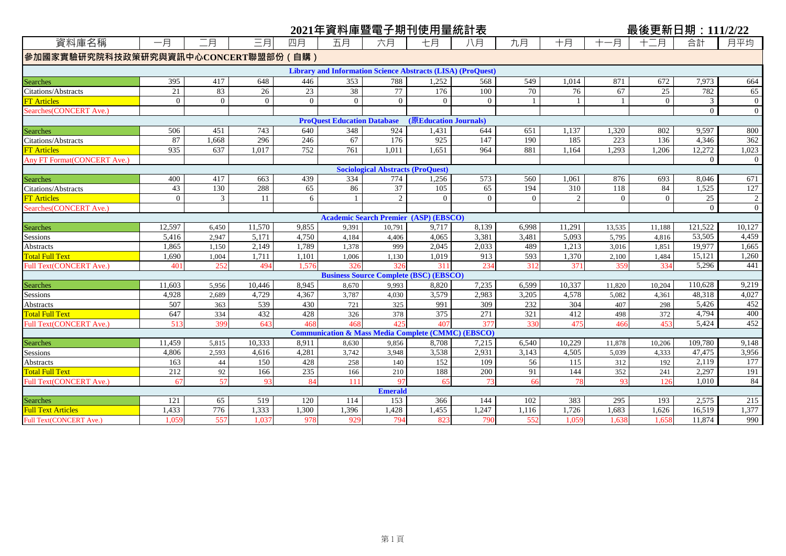|                                     |                |                |                |                |                                    |                                          | 2021年資料庫暨電子期刊使用量統計表                                                |          |          |                |          | 最後更新日期: 111/2/22 |          |                |
|-------------------------------------|----------------|----------------|----------------|----------------|------------------------------------|------------------------------------------|--------------------------------------------------------------------|----------|----------|----------------|----------|------------------|----------|----------------|
| 資料庫名稱                               | 一月             | 二月             | 三月             | 四月             | 五月                                 | 六月                                       | 七月                                                                 | 八月       | 九月       | 十月             | -月       | 十二月              | 合計       | 月平均            |
| 参加國家實驗研究院科技政策研究與資訊中心CONCERT聯盟部份(自購) |                |                |                |                |                                    |                                          |                                                                    |          |          |                |          |                  |          |                |
|                                     |                |                |                |                |                                    |                                          | <b>Library and Information Science Abstracts (LISA) (ProQuest)</b> |          |          |                |          |                  |          |                |
| Searches                            | 395            | 417            | 648            | 446            | 353                                | 788                                      | 1,252                                                              | 568      | 549      | 1.014          | 871      | 672              | 7,973    | 664            |
| <b>Citations/Abstracts</b>          | 21             | 83             | 26             | 23             | 38                                 | 77                                       | 176                                                                | 100      | 70       | 76             | 67       | 25               | 782      | 65             |
| <b>FT Articles</b>                  | $\overline{0}$ | $\overline{0}$ | $\overline{0}$ | $\overline{0}$ | $\overline{0}$                     | $\overline{0}$                           | $\overline{0}$                                                     | $\Omega$ |          | $\mathbf{1}$   |          | $\theta$         | 3        | $\mathbf{0}$   |
| Searches (CONCERT Ave.)             |                |                |                |                |                                    |                                          |                                                                    |          |          |                |          |                  | $\Omega$ | $\theta$       |
|                                     |                |                |                |                | <b>ProQuest Education Database</b> |                                          | (原Education Journals)                                              |          |          |                |          |                  |          |                |
| <b>Searches</b>                     | 506            | 451            | 743            | 640            | 348                                | 924                                      | 1,431                                                              | 644      | 651      | 1,137          | 1,320    | 802              | 9,597    | 800            |
| <b>Citations/Abstracts</b>          | 87             | 1,668          | 296            | 246            | 67                                 | 176                                      | 925                                                                | 147      | 190      | 185            | 223      | 136              | 4.346    | 362            |
| <b>FT</b> Articles                  | 935            | 637            | 1,017          | 752            | 761                                | 1,011                                    | 1,651                                                              | 964      | 881      | 1,164          | 1,293    | 1,206            | 12,272   | 1,023          |
| Any FT Format (CONCERT Ave.)        |                |                |                |                |                                    |                                          |                                                                    |          |          |                |          |                  | $\Omega$ | $\overline{0}$ |
|                                     |                |                |                |                |                                    | <b>Sociological Abstracts (ProQuest)</b> |                                                                    |          |          |                |          |                  |          |                |
| <b>Searches</b>                     | 400            | 417            | 663            | 439            | 334                                | 774                                      | 1,256                                                              | 573      | 560      | 1,061          | 876      | 693              | 8.046    | 671            |
| Citations/Abstracts                 | 43             | 130            | 288            | 65             | 86                                 | 37                                       | 105                                                                | 65       | 194      | 310            | 118      | 84               | 1,525    | 127            |
| <b>FT</b> Articles                  | $\theta$       | 3              | 11             | 6              |                                    | 2                                        | $\Omega$                                                           | $\Omega$ | $\Omega$ | $\overline{2}$ | $\theta$ | $\Omega$         | 25       | 2              |
| Searches(CONCERT Ave.)              |                |                |                |                |                                    |                                          |                                                                    |          |          |                |          |                  | $\Omega$ | $\Omega$       |
|                                     |                |                |                |                |                                    |                                          | <b>Academic Search Premier (ASP) (EBSCO)</b>                       |          |          |                |          |                  |          |                |
| Searches                            | 12,597         | 6.450          | 11.570         | 9,855          | 9,391                              | 10,791                                   | 9,717                                                              | 8,139    | 6.998    | 11,291         | 13,535   | 11,188           | 121,522  | 10,127         |
| Sessions                            | 5,416          | 2,947          | 5,171          | 4,750          | 4,184                              | 4,406                                    | 4,065                                                              | 3,381    | 3,481    | 5,093          | 5,795    | 4,816            | 53,505   | 4,459          |
| Abstracts                           | 1,865          | 1,150          | 2,149          | 1,789          | 1,378                              | 999                                      | 2,045                                                              | 2,033    | 489      | 1,213          | 3,016    | 1,851            | 19,977   | 1,665          |
| <b>Total Full Text</b>              | 1.690          | 1,004          | 1,711          | 1.101          | 1,006                              | 1,130                                    | 1,019                                                              | 913      | 593      | 1,370          | 2,100    | 1,484            | 15,121   | 1,260          |
| Full Text(CONCERT Ave.)             | 401            | 252            | 494            | 1.576          | 326                                | 326                                      | 311                                                                | 234      | 312      | 371            | 359      | 334              | 5,296    | 441            |
|                                     |                |                |                |                |                                    |                                          | <b>Business Source Complete (BSC) (EBSCO)</b>                      |          |          |                |          |                  |          |                |
| <b>Searches</b>                     | 11,603         | 5,956          | 10,446         | 8,945          | 8,670                              | 9,993                                    | 8,820                                                              | 7,235    | 6,599    | 10,337         | 11,820   | 10,204           | 110,628  | 9,219          |
| Sessions                            | 4,928          | 2,689          | 4,729          | 4,367          | 3,787                              | 4,030                                    | 3,579                                                              | 2,983    | 3,205    | 4,578          | 5,082    | 4,361            | 48,318   | 4,027          |
| Abstracts                           | 507            | 363            | 539            | 430            | 721                                | 325                                      | 991                                                                | 309      | 232      | 304            | 407      | 298              | 5,426    | 452            |
| <b>Total Full Text</b>              | 647            | 334            | 432            | 428            | 326                                | 378                                      | 375                                                                | 271      | 321      | 412            | 498      | 372              | 4.794    | 400            |
| Full Text(CONCERT Ave.)             | 513            | 399            | 643            | 468            | 468                                | 425                                      | 407                                                                | 377      | 330      | 475            | 466      | 453              | 5,424    | 452            |
|                                     |                |                |                |                |                                    |                                          | <b>Communication &amp; Mass Media Complete (CMMC) (EBSCO)</b>      |          |          |                |          |                  |          |                |
| <b>Searches</b>                     | 11.459         | 5.815          | 10.333         | 8.911          | 8.630                              | 9.856                                    | 8.708                                                              | 7.215    | 6.540    | 10.229         | 11.878   | 10.206           | 109,780  | 9,148          |
| Sessions                            | 4,806          | 2,593          | 4,616          | 4,281          | 3,742                              | 3,948                                    | 3,538                                                              | 2,931    | 3,143    | 4,505          | 5,039    | 4,333            | 47,475   | 3,956          |
| Abstracts                           | 163            | 44             | 150            | 428            | 258                                | 140                                      | 152                                                                | 109      | 56       | 115            | 312      | 192              | 2,119    | 177            |
| <b>Total Full Text</b>              | 212            | 92             | 166            | 235            | 166                                | 210                                      | 188                                                                | 200      | 91       | 144            | 352      | 241              | 2,297    | 191            |
| Full Text(CONCERT Ave.)             | 67             | 57             | 93             | 84             | 111                                | 97                                       | 65                                                                 | 73       | 66       | 78             | 93       | 126              | 1.010    | 84             |
|                                     |                |                |                |                |                                    | <b>Emerald</b>                           |                                                                    |          |          |                |          |                  |          |                |
| <b>Searches</b>                     | 121            | 65             | 519            | 120            | 114                                | 153                                      | 366                                                                | 144      | 102      | 383            | 295      | 193              | 2,575    | 215            |
| <b>Full Text Articles</b>           | 1,433          | 776            | 1,333          | 1.300          | 1,396                              | 1,428                                    | 1,455                                                              | 1,247    | 1,116    | 1,726          | 1,683    | 1,626            | 16,519   | 1,377          |
| Full Text(CONCERT Ave.)             | 1,059          | 557            | 1,037          | 978            | 929                                | 794                                      | 823                                                                | 790      | 552      | 1,059          | 1,638    | 1,658            | 11,874   | 990            |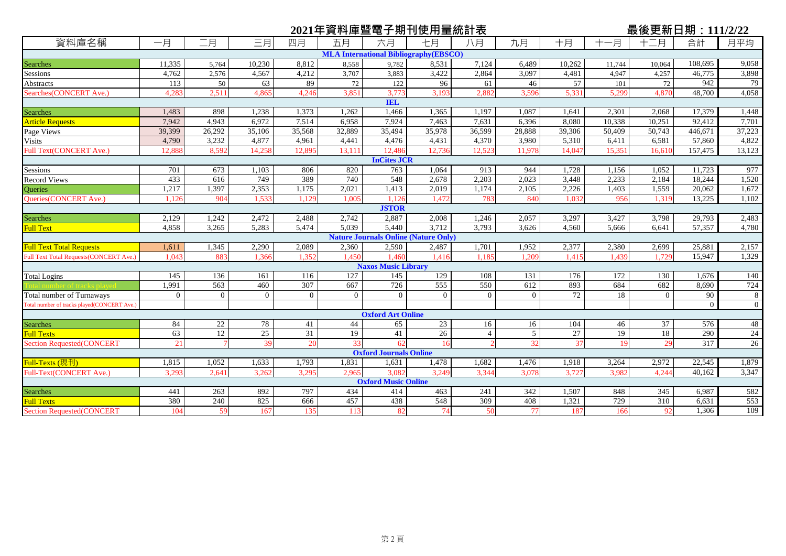| 二月<br>資料庫名稱<br>三月<br>一月<br>合計<br>月平均<br>一月<br>八月<br>九月<br>十月<br>十二月<br>四月<br>五月<br>六月<br>七月<br><b>MLA International Bibliography (EBSCO)</b><br>11,335<br>10,230<br>8,812<br>8,558<br>7,124<br>6,489<br>10,262<br>108,695<br>9,058<br>5,764<br>9,782<br>8,531<br>11,744<br>10.064<br>46,775<br>3,707<br>3,097<br>3,898<br>4,762<br>2,576<br>4,567<br>4,212<br>3,883<br>3,422<br>2,864<br>4,481<br>4,257<br>4,947<br>942<br>79<br>89<br>57<br>113<br>50<br>63<br>72<br>122<br>96<br>61<br>46<br>101<br>72<br>4,058<br>Searches(CONCERT Ave.)<br>3,773<br>5,331<br>4.283<br>2.511<br>4.865<br>4.246<br>3.851<br>3.193<br>2.882<br>3.596<br>5.299<br>4.870<br>48.700<br><b>IEL</b><br>Searches<br>1,262<br>1,466<br>1,087<br>1,483<br>898<br>1,238<br>1,373<br>1,365<br>1,197<br>1.641<br>2,301<br>2,068<br>17,379<br>1,448<br><b>Article Requests</b><br>7,942<br>7.924<br>92,412<br>4.943<br>6.972<br>7,514<br>6,958<br>7,463<br>6,396<br>8,080<br>10,251<br>7,701<br>7,631<br>10,338<br>Page Views<br>28,888<br>37,223<br>26,292<br>35,106<br>35,568<br>32,889<br>35,494<br>35,978<br>39,306<br>446,671<br>39,399<br>36,599<br>50,409<br>50,743<br>3,232<br>4,822<br><b>Visits</b><br>4,790<br>4,877<br>4,476<br>4,431<br>4,370<br>3,980<br>5,310<br>57,860<br>4,961<br>4,441<br>6,411<br>6,581<br>157,475<br>Full Text(CONCERT Ave.)<br>8,592<br>12,486<br>13,123<br>12,888<br>14,258<br>12,895<br>13,111<br>12,736<br>12,523<br>11,978<br>14,047<br>15,351<br>16,610<br><b>InCites JCR</b><br>Sessions<br>673<br>1,064<br>1,052<br>11,723<br>977<br>701<br>1,103<br>806<br>820<br>763<br>913<br>944<br>1,728<br>1,156<br>Record Views<br>433<br>389<br>740<br>548<br>2,203<br>18,244<br>1,520<br>616<br>749<br>2,678<br>2,023<br>3,448<br>2,233<br>2,184<br>Queries<br>1,397<br>2,353<br>2,226<br>1,672<br>1,217<br>1,175<br>2,021<br>1,413<br>2,019<br>1,174<br>2,105<br>1,559<br>20,062<br>1,403<br>13,225<br>Queries(CONCERT Ave.)<br>904<br>1.032<br>1,102<br>1.126<br>1,533<br>1.129<br>1.005<br>.126<br>1.472<br>783<br>840<br>956<br>1.319<br><b>JSTOR</b><br>Searches<br>1,242<br>2,472<br>2,742<br>2,887<br>2,008<br>3,297<br>2,483<br>2,129<br>2,488<br>1.246<br>2,057<br>3,427<br>3,798<br>29,793<br>Full Text<br>3,265<br>5.039<br>5,440<br>3,712<br>3,793<br>57,357<br>4,858<br>5,283<br>5,474<br>3,626<br>4,560<br>4,780<br>5,666<br>6.641<br><b>Nature Journals Online (Nature Only)</b><br>2,157<br>1,345<br>2,290<br>2,089<br>2,590<br>2,487<br>1,701<br>1,952<br>2,377<br>25,881<br><b>Full Text Total Requests</b><br>1,611<br>2,360<br>2,380<br>2,699<br><b>Full Text Total Requests (CONCERT Ave.)</b><br>15,947<br>1,329<br>1.043<br>883<br>1.366<br>1.450<br>1.416<br>1.209<br>1.352<br>.460<br>1.185<br>1.415<br>1.439<br>1.729<br><b>Naxos Music Library</b><br>129<br><b>Total Logins</b><br>145<br>136<br>161<br>116<br>127<br>145<br>108<br>131<br>176<br>172<br>130<br>1,676<br>140<br>563<br>555<br>550<br>1.991<br>307<br>667<br>726<br>612<br>893<br>684<br>682<br>8,690<br>724<br>460<br>Total number of Turnaways<br>72<br>$\Omega$<br>18<br>$\Omega$<br>$\overline{0}$<br>$\theta$<br>$\theta$<br>$\Omega$<br>$\theta$<br>90<br>8<br>$\Omega$<br>$\Omega$<br>$\Omega$<br>Total number of tracks played(CONCERT Ave.)<br>$\Omega$<br>$\overline{0}$<br><b>Oxford Art Online</b><br>Searches<br>23<br>22<br>44<br>84<br>78<br>41<br>65<br>104<br>37<br>576<br>16<br>16<br>46<br>48<br>$\overline{19}$<br>18<br>63<br>12<br>25<br>31<br>19<br>41<br>26<br>5<br>27<br>290<br>24<br>$\overline{4}$<br><b>Full Texts</b><br>32<br>$\overline{26}$<br>21<br>33<br>37<br>29<br>317<br>39<br>20<br>62<br><b>Section Requested(CONCERT</b><br>19<br>16<br><b>Oxford Journals Online</b><br>Full-Texts (現刊)<br>1,052<br>1,633<br>1,793<br>1,831<br>1,478<br>1,682<br>1,476<br>1,918<br>2,972<br>22,545<br>1,879<br>1,815<br>1,631<br>3,264<br>Full-Text(CONCERT Ave.)<br>3,082<br>40.162<br>3,347<br>3,293<br>2.641<br>3,295<br>2,965<br>3,249<br>3,344<br>3,727<br>3,982<br>4.244<br>3,262<br>3,078<br><b>Oxford Music Online</b><br><b>Searches</b><br>797<br>434<br>241<br>$\overline{345}$<br>441<br>263<br>892<br>414<br>463<br>342<br>1,507<br>848<br>6,987<br>582<br>457<br>309<br>310<br>380<br>240<br>825<br>438<br>548<br>408<br>729<br><b>Full Texts</b><br>Section Requested(CONCERT<br>666<br>1,321<br>6,631<br>553<br>74<br>77<br>109<br>104<br>59<br>135<br>113<br>82<br>187<br>1,306<br>167<br>50<br>166<br>92 |                 |  |  | 2021年資料庫暨電子期刊使用量統計表 |  |  | 最後更新日期: 111/2/22 |  |
|----------------------------------------------------------------------------------------------------------------------------------------------------------------------------------------------------------------------------------------------------------------------------------------------------------------------------------------------------------------------------------------------------------------------------------------------------------------------------------------------------------------------------------------------------------------------------------------------------------------------------------------------------------------------------------------------------------------------------------------------------------------------------------------------------------------------------------------------------------------------------------------------------------------------------------------------------------------------------------------------------------------------------------------------------------------------------------------------------------------------------------------------------------------------------------------------------------------------------------------------------------------------------------------------------------------------------------------------------------------------------------------------------------------------------------------------------------------------------------------------------------------------------------------------------------------------------------------------------------------------------------------------------------------------------------------------------------------------------------------------------------------------------------------------------------------------------------------------------------------------------------------------------------------------------------------------------------------------------------------------------------------------------------------------------------------------------------------------------------------------------------------------------------------------------------------------------------------------------------------------------------------------------------------------------------------------------------------------------------------------------------------------------------------------------------------------------------------------------------------------------------------------------------------------------------------------------------------------------------------------------------------------------------------------------------------------------------------------------------------------------------------------------------------------------------------------------------------------------------------------------------------------------------------------------------------------------------------------------------------------------------------------------------------------------------------------------------------------------------------------------------------------------------------------------------------------------------------------------------------------------------------------------------------------------------------------------------------------------------------------------------------------------------------------------------------------------------------------------------------------------------------------------------------------------------------------------------------------------------------------------------------------------------------------------------------------------------------------------------------------------------------------------------------------------------------------------------------------------------------------------------------------------------------------------------------------------------------------------------------------------------------------------------------------------------------------------------------------------------------------------------------------------------------------------------------------------------------------------------------------------------------------------------------------------------------------------------------------------------------------------------------------------------------------------------------------------------|-----------------|--|--|---------------------|--|--|------------------|--|
|                                                                                                                                                                                                                                                                                                                                                                                                                                                                                                                                                                                                                                                                                                                                                                                                                                                                                                                                                                                                                                                                                                                                                                                                                                                                                                                                                                                                                                                                                                                                                                                                                                                                                                                                                                                                                                                                                                                                                                                                                                                                                                                                                                                                                                                                                                                                                                                                                                                                                                                                                                                                                                                                                                                                                                                                                                                                                                                                                                                                                                                                                                                                                                                                                                                                                                                                                                                                                                                                                                                                                                                                                                                                                                                                                                                                                                                                                                                                                                                                                                                                                                                                                                                                                                                                                                                                                                                                                                                          |                 |  |  |                     |  |  |                  |  |
|                                                                                                                                                                                                                                                                                                                                                                                                                                                                                                                                                                                                                                                                                                                                                                                                                                                                                                                                                                                                                                                                                                                                                                                                                                                                                                                                                                                                                                                                                                                                                                                                                                                                                                                                                                                                                                                                                                                                                                                                                                                                                                                                                                                                                                                                                                                                                                                                                                                                                                                                                                                                                                                                                                                                                                                                                                                                                                                                                                                                                                                                                                                                                                                                                                                                                                                                                                                                                                                                                                                                                                                                                                                                                                                                                                                                                                                                                                                                                                                                                                                                                                                                                                                                                                                                                                                                                                                                                                                          |                 |  |  |                     |  |  |                  |  |
|                                                                                                                                                                                                                                                                                                                                                                                                                                                                                                                                                                                                                                                                                                                                                                                                                                                                                                                                                                                                                                                                                                                                                                                                                                                                                                                                                                                                                                                                                                                                                                                                                                                                                                                                                                                                                                                                                                                                                                                                                                                                                                                                                                                                                                                                                                                                                                                                                                                                                                                                                                                                                                                                                                                                                                                                                                                                                                                                                                                                                                                                                                                                                                                                                                                                                                                                                                                                                                                                                                                                                                                                                                                                                                                                                                                                                                                                                                                                                                                                                                                                                                                                                                                                                                                                                                                                                                                                                                                          | Searches        |  |  |                     |  |  |                  |  |
|                                                                                                                                                                                                                                                                                                                                                                                                                                                                                                                                                                                                                                                                                                                                                                                                                                                                                                                                                                                                                                                                                                                                                                                                                                                                                                                                                                                                                                                                                                                                                                                                                                                                                                                                                                                                                                                                                                                                                                                                                                                                                                                                                                                                                                                                                                                                                                                                                                                                                                                                                                                                                                                                                                                                                                                                                                                                                                                                                                                                                                                                                                                                                                                                                                                                                                                                                                                                                                                                                                                                                                                                                                                                                                                                                                                                                                                                                                                                                                                                                                                                                                                                                                                                                                                                                                                                                                                                                                                          | <b>Sessions</b> |  |  |                     |  |  |                  |  |
|                                                                                                                                                                                                                                                                                                                                                                                                                                                                                                                                                                                                                                                                                                                                                                                                                                                                                                                                                                                                                                                                                                                                                                                                                                                                                                                                                                                                                                                                                                                                                                                                                                                                                                                                                                                                                                                                                                                                                                                                                                                                                                                                                                                                                                                                                                                                                                                                                                                                                                                                                                                                                                                                                                                                                                                                                                                                                                                                                                                                                                                                                                                                                                                                                                                                                                                                                                                                                                                                                                                                                                                                                                                                                                                                                                                                                                                                                                                                                                                                                                                                                                                                                                                                                                                                                                                                                                                                                                                          | Abstracts       |  |  |                     |  |  |                  |  |
|                                                                                                                                                                                                                                                                                                                                                                                                                                                                                                                                                                                                                                                                                                                                                                                                                                                                                                                                                                                                                                                                                                                                                                                                                                                                                                                                                                                                                                                                                                                                                                                                                                                                                                                                                                                                                                                                                                                                                                                                                                                                                                                                                                                                                                                                                                                                                                                                                                                                                                                                                                                                                                                                                                                                                                                                                                                                                                                                                                                                                                                                                                                                                                                                                                                                                                                                                                                                                                                                                                                                                                                                                                                                                                                                                                                                                                                                                                                                                                                                                                                                                                                                                                                                                                                                                                                                                                                                                                                          |                 |  |  |                     |  |  |                  |  |
|                                                                                                                                                                                                                                                                                                                                                                                                                                                                                                                                                                                                                                                                                                                                                                                                                                                                                                                                                                                                                                                                                                                                                                                                                                                                                                                                                                                                                                                                                                                                                                                                                                                                                                                                                                                                                                                                                                                                                                                                                                                                                                                                                                                                                                                                                                                                                                                                                                                                                                                                                                                                                                                                                                                                                                                                                                                                                                                                                                                                                                                                                                                                                                                                                                                                                                                                                                                                                                                                                                                                                                                                                                                                                                                                                                                                                                                                                                                                                                                                                                                                                                                                                                                                                                                                                                                                                                                                                                                          |                 |  |  |                     |  |  |                  |  |
|                                                                                                                                                                                                                                                                                                                                                                                                                                                                                                                                                                                                                                                                                                                                                                                                                                                                                                                                                                                                                                                                                                                                                                                                                                                                                                                                                                                                                                                                                                                                                                                                                                                                                                                                                                                                                                                                                                                                                                                                                                                                                                                                                                                                                                                                                                                                                                                                                                                                                                                                                                                                                                                                                                                                                                                                                                                                                                                                                                                                                                                                                                                                                                                                                                                                                                                                                                                                                                                                                                                                                                                                                                                                                                                                                                                                                                                                                                                                                                                                                                                                                                                                                                                                                                                                                                                                                                                                                                                          |                 |  |  |                     |  |  |                  |  |
|                                                                                                                                                                                                                                                                                                                                                                                                                                                                                                                                                                                                                                                                                                                                                                                                                                                                                                                                                                                                                                                                                                                                                                                                                                                                                                                                                                                                                                                                                                                                                                                                                                                                                                                                                                                                                                                                                                                                                                                                                                                                                                                                                                                                                                                                                                                                                                                                                                                                                                                                                                                                                                                                                                                                                                                                                                                                                                                                                                                                                                                                                                                                                                                                                                                                                                                                                                                                                                                                                                                                                                                                                                                                                                                                                                                                                                                                                                                                                                                                                                                                                                                                                                                                                                                                                                                                                                                                                                                          |                 |  |  |                     |  |  |                  |  |
|                                                                                                                                                                                                                                                                                                                                                                                                                                                                                                                                                                                                                                                                                                                                                                                                                                                                                                                                                                                                                                                                                                                                                                                                                                                                                                                                                                                                                                                                                                                                                                                                                                                                                                                                                                                                                                                                                                                                                                                                                                                                                                                                                                                                                                                                                                                                                                                                                                                                                                                                                                                                                                                                                                                                                                                                                                                                                                                                                                                                                                                                                                                                                                                                                                                                                                                                                                                                                                                                                                                                                                                                                                                                                                                                                                                                                                                                                                                                                                                                                                                                                                                                                                                                                                                                                                                                                                                                                                                          |                 |  |  |                     |  |  |                  |  |
|                                                                                                                                                                                                                                                                                                                                                                                                                                                                                                                                                                                                                                                                                                                                                                                                                                                                                                                                                                                                                                                                                                                                                                                                                                                                                                                                                                                                                                                                                                                                                                                                                                                                                                                                                                                                                                                                                                                                                                                                                                                                                                                                                                                                                                                                                                                                                                                                                                                                                                                                                                                                                                                                                                                                                                                                                                                                                                                                                                                                                                                                                                                                                                                                                                                                                                                                                                                                                                                                                                                                                                                                                                                                                                                                                                                                                                                                                                                                                                                                                                                                                                                                                                                                                                                                                                                                                                                                                                                          |                 |  |  |                     |  |  |                  |  |
|                                                                                                                                                                                                                                                                                                                                                                                                                                                                                                                                                                                                                                                                                                                                                                                                                                                                                                                                                                                                                                                                                                                                                                                                                                                                                                                                                                                                                                                                                                                                                                                                                                                                                                                                                                                                                                                                                                                                                                                                                                                                                                                                                                                                                                                                                                                                                                                                                                                                                                                                                                                                                                                                                                                                                                                                                                                                                                                                                                                                                                                                                                                                                                                                                                                                                                                                                                                                                                                                                                                                                                                                                                                                                                                                                                                                                                                                                                                                                                                                                                                                                                                                                                                                                                                                                                                                                                                                                                                          |                 |  |  |                     |  |  |                  |  |
|                                                                                                                                                                                                                                                                                                                                                                                                                                                                                                                                                                                                                                                                                                                                                                                                                                                                                                                                                                                                                                                                                                                                                                                                                                                                                                                                                                                                                                                                                                                                                                                                                                                                                                                                                                                                                                                                                                                                                                                                                                                                                                                                                                                                                                                                                                                                                                                                                                                                                                                                                                                                                                                                                                                                                                                                                                                                                                                                                                                                                                                                                                                                                                                                                                                                                                                                                                                                                                                                                                                                                                                                                                                                                                                                                                                                                                                                                                                                                                                                                                                                                                                                                                                                                                                                                                                                                                                                                                                          |                 |  |  |                     |  |  |                  |  |
|                                                                                                                                                                                                                                                                                                                                                                                                                                                                                                                                                                                                                                                                                                                                                                                                                                                                                                                                                                                                                                                                                                                                                                                                                                                                                                                                                                                                                                                                                                                                                                                                                                                                                                                                                                                                                                                                                                                                                                                                                                                                                                                                                                                                                                                                                                                                                                                                                                                                                                                                                                                                                                                                                                                                                                                                                                                                                                                                                                                                                                                                                                                                                                                                                                                                                                                                                                                                                                                                                                                                                                                                                                                                                                                                                                                                                                                                                                                                                                                                                                                                                                                                                                                                                                                                                                                                                                                                                                                          |                 |  |  |                     |  |  |                  |  |
|                                                                                                                                                                                                                                                                                                                                                                                                                                                                                                                                                                                                                                                                                                                                                                                                                                                                                                                                                                                                                                                                                                                                                                                                                                                                                                                                                                                                                                                                                                                                                                                                                                                                                                                                                                                                                                                                                                                                                                                                                                                                                                                                                                                                                                                                                                                                                                                                                                                                                                                                                                                                                                                                                                                                                                                                                                                                                                                                                                                                                                                                                                                                                                                                                                                                                                                                                                                                                                                                                                                                                                                                                                                                                                                                                                                                                                                                                                                                                                                                                                                                                                                                                                                                                                                                                                                                                                                                                                                          |                 |  |  |                     |  |  |                  |  |
|                                                                                                                                                                                                                                                                                                                                                                                                                                                                                                                                                                                                                                                                                                                                                                                                                                                                                                                                                                                                                                                                                                                                                                                                                                                                                                                                                                                                                                                                                                                                                                                                                                                                                                                                                                                                                                                                                                                                                                                                                                                                                                                                                                                                                                                                                                                                                                                                                                                                                                                                                                                                                                                                                                                                                                                                                                                                                                                                                                                                                                                                                                                                                                                                                                                                                                                                                                                                                                                                                                                                                                                                                                                                                                                                                                                                                                                                                                                                                                                                                                                                                                                                                                                                                                                                                                                                                                                                                                                          |                 |  |  |                     |  |  |                  |  |
|                                                                                                                                                                                                                                                                                                                                                                                                                                                                                                                                                                                                                                                                                                                                                                                                                                                                                                                                                                                                                                                                                                                                                                                                                                                                                                                                                                                                                                                                                                                                                                                                                                                                                                                                                                                                                                                                                                                                                                                                                                                                                                                                                                                                                                                                                                                                                                                                                                                                                                                                                                                                                                                                                                                                                                                                                                                                                                                                                                                                                                                                                                                                                                                                                                                                                                                                                                                                                                                                                                                                                                                                                                                                                                                                                                                                                                                                                                                                                                                                                                                                                                                                                                                                                                                                                                                                                                                                                                                          |                 |  |  |                     |  |  |                  |  |
|                                                                                                                                                                                                                                                                                                                                                                                                                                                                                                                                                                                                                                                                                                                                                                                                                                                                                                                                                                                                                                                                                                                                                                                                                                                                                                                                                                                                                                                                                                                                                                                                                                                                                                                                                                                                                                                                                                                                                                                                                                                                                                                                                                                                                                                                                                                                                                                                                                                                                                                                                                                                                                                                                                                                                                                                                                                                                                                                                                                                                                                                                                                                                                                                                                                                                                                                                                                                                                                                                                                                                                                                                                                                                                                                                                                                                                                                                                                                                                                                                                                                                                                                                                                                                                                                                                                                                                                                                                                          |                 |  |  |                     |  |  |                  |  |
|                                                                                                                                                                                                                                                                                                                                                                                                                                                                                                                                                                                                                                                                                                                                                                                                                                                                                                                                                                                                                                                                                                                                                                                                                                                                                                                                                                                                                                                                                                                                                                                                                                                                                                                                                                                                                                                                                                                                                                                                                                                                                                                                                                                                                                                                                                                                                                                                                                                                                                                                                                                                                                                                                                                                                                                                                                                                                                                                                                                                                                                                                                                                                                                                                                                                                                                                                                                                                                                                                                                                                                                                                                                                                                                                                                                                                                                                                                                                                                                                                                                                                                                                                                                                                                                                                                                                                                                                                                                          |                 |  |  |                     |  |  |                  |  |
|                                                                                                                                                                                                                                                                                                                                                                                                                                                                                                                                                                                                                                                                                                                                                                                                                                                                                                                                                                                                                                                                                                                                                                                                                                                                                                                                                                                                                                                                                                                                                                                                                                                                                                                                                                                                                                                                                                                                                                                                                                                                                                                                                                                                                                                                                                                                                                                                                                                                                                                                                                                                                                                                                                                                                                                                                                                                                                                                                                                                                                                                                                                                                                                                                                                                                                                                                                                                                                                                                                                                                                                                                                                                                                                                                                                                                                                                                                                                                                                                                                                                                                                                                                                                                                                                                                                                                                                                                                                          |                 |  |  |                     |  |  |                  |  |
|                                                                                                                                                                                                                                                                                                                                                                                                                                                                                                                                                                                                                                                                                                                                                                                                                                                                                                                                                                                                                                                                                                                                                                                                                                                                                                                                                                                                                                                                                                                                                                                                                                                                                                                                                                                                                                                                                                                                                                                                                                                                                                                                                                                                                                                                                                                                                                                                                                                                                                                                                                                                                                                                                                                                                                                                                                                                                                                                                                                                                                                                                                                                                                                                                                                                                                                                                                                                                                                                                                                                                                                                                                                                                                                                                                                                                                                                                                                                                                                                                                                                                                                                                                                                                                                                                                                                                                                                                                                          |                 |  |  |                     |  |  |                  |  |
|                                                                                                                                                                                                                                                                                                                                                                                                                                                                                                                                                                                                                                                                                                                                                                                                                                                                                                                                                                                                                                                                                                                                                                                                                                                                                                                                                                                                                                                                                                                                                                                                                                                                                                                                                                                                                                                                                                                                                                                                                                                                                                                                                                                                                                                                                                                                                                                                                                                                                                                                                                                                                                                                                                                                                                                                                                                                                                                                                                                                                                                                                                                                                                                                                                                                                                                                                                                                                                                                                                                                                                                                                                                                                                                                                                                                                                                                                                                                                                                                                                                                                                                                                                                                                                                                                                                                                                                                                                                          |                 |  |  |                     |  |  |                  |  |
|                                                                                                                                                                                                                                                                                                                                                                                                                                                                                                                                                                                                                                                                                                                                                                                                                                                                                                                                                                                                                                                                                                                                                                                                                                                                                                                                                                                                                                                                                                                                                                                                                                                                                                                                                                                                                                                                                                                                                                                                                                                                                                                                                                                                                                                                                                                                                                                                                                                                                                                                                                                                                                                                                                                                                                                                                                                                                                                                                                                                                                                                                                                                                                                                                                                                                                                                                                                                                                                                                                                                                                                                                                                                                                                                                                                                                                                                                                                                                                                                                                                                                                                                                                                                                                                                                                                                                                                                                                                          |                 |  |  |                     |  |  |                  |  |
|                                                                                                                                                                                                                                                                                                                                                                                                                                                                                                                                                                                                                                                                                                                                                                                                                                                                                                                                                                                                                                                                                                                                                                                                                                                                                                                                                                                                                                                                                                                                                                                                                                                                                                                                                                                                                                                                                                                                                                                                                                                                                                                                                                                                                                                                                                                                                                                                                                                                                                                                                                                                                                                                                                                                                                                                                                                                                                                                                                                                                                                                                                                                                                                                                                                                                                                                                                                                                                                                                                                                                                                                                                                                                                                                                                                                                                                                                                                                                                                                                                                                                                                                                                                                                                                                                                                                                                                                                                                          |                 |  |  |                     |  |  |                  |  |
|                                                                                                                                                                                                                                                                                                                                                                                                                                                                                                                                                                                                                                                                                                                                                                                                                                                                                                                                                                                                                                                                                                                                                                                                                                                                                                                                                                                                                                                                                                                                                                                                                                                                                                                                                                                                                                                                                                                                                                                                                                                                                                                                                                                                                                                                                                                                                                                                                                                                                                                                                                                                                                                                                                                                                                                                                                                                                                                                                                                                                                                                                                                                                                                                                                                                                                                                                                                                                                                                                                                                                                                                                                                                                                                                                                                                                                                                                                                                                                                                                                                                                                                                                                                                                                                                                                                                                                                                                                                          |                 |  |  |                     |  |  |                  |  |
|                                                                                                                                                                                                                                                                                                                                                                                                                                                                                                                                                                                                                                                                                                                                                                                                                                                                                                                                                                                                                                                                                                                                                                                                                                                                                                                                                                                                                                                                                                                                                                                                                                                                                                                                                                                                                                                                                                                                                                                                                                                                                                                                                                                                                                                                                                                                                                                                                                                                                                                                                                                                                                                                                                                                                                                                                                                                                                                                                                                                                                                                                                                                                                                                                                                                                                                                                                                                                                                                                                                                                                                                                                                                                                                                                                                                                                                                                                                                                                                                                                                                                                                                                                                                                                                                                                                                                                                                                                                          |                 |  |  |                     |  |  |                  |  |
|                                                                                                                                                                                                                                                                                                                                                                                                                                                                                                                                                                                                                                                                                                                                                                                                                                                                                                                                                                                                                                                                                                                                                                                                                                                                                                                                                                                                                                                                                                                                                                                                                                                                                                                                                                                                                                                                                                                                                                                                                                                                                                                                                                                                                                                                                                                                                                                                                                                                                                                                                                                                                                                                                                                                                                                                                                                                                                                                                                                                                                                                                                                                                                                                                                                                                                                                                                                                                                                                                                                                                                                                                                                                                                                                                                                                                                                                                                                                                                                                                                                                                                                                                                                                                                                                                                                                                                                                                                                          |                 |  |  |                     |  |  |                  |  |
|                                                                                                                                                                                                                                                                                                                                                                                                                                                                                                                                                                                                                                                                                                                                                                                                                                                                                                                                                                                                                                                                                                                                                                                                                                                                                                                                                                                                                                                                                                                                                                                                                                                                                                                                                                                                                                                                                                                                                                                                                                                                                                                                                                                                                                                                                                                                                                                                                                                                                                                                                                                                                                                                                                                                                                                                                                                                                                                                                                                                                                                                                                                                                                                                                                                                                                                                                                                                                                                                                                                                                                                                                                                                                                                                                                                                                                                                                                                                                                                                                                                                                                                                                                                                                                                                                                                                                                                                                                                          |                 |  |  |                     |  |  |                  |  |
|                                                                                                                                                                                                                                                                                                                                                                                                                                                                                                                                                                                                                                                                                                                                                                                                                                                                                                                                                                                                                                                                                                                                                                                                                                                                                                                                                                                                                                                                                                                                                                                                                                                                                                                                                                                                                                                                                                                                                                                                                                                                                                                                                                                                                                                                                                                                                                                                                                                                                                                                                                                                                                                                                                                                                                                                                                                                                                                                                                                                                                                                                                                                                                                                                                                                                                                                                                                                                                                                                                                                                                                                                                                                                                                                                                                                                                                                                                                                                                                                                                                                                                                                                                                                                                                                                                                                                                                                                                                          |                 |  |  |                     |  |  |                  |  |
|                                                                                                                                                                                                                                                                                                                                                                                                                                                                                                                                                                                                                                                                                                                                                                                                                                                                                                                                                                                                                                                                                                                                                                                                                                                                                                                                                                                                                                                                                                                                                                                                                                                                                                                                                                                                                                                                                                                                                                                                                                                                                                                                                                                                                                                                                                                                                                                                                                                                                                                                                                                                                                                                                                                                                                                                                                                                                                                                                                                                                                                                                                                                                                                                                                                                                                                                                                                                                                                                                                                                                                                                                                                                                                                                                                                                                                                                                                                                                                                                                                                                                                                                                                                                                                                                                                                                                                                                                                                          |                 |  |  |                     |  |  |                  |  |
|                                                                                                                                                                                                                                                                                                                                                                                                                                                                                                                                                                                                                                                                                                                                                                                                                                                                                                                                                                                                                                                                                                                                                                                                                                                                                                                                                                                                                                                                                                                                                                                                                                                                                                                                                                                                                                                                                                                                                                                                                                                                                                                                                                                                                                                                                                                                                                                                                                                                                                                                                                                                                                                                                                                                                                                                                                                                                                                                                                                                                                                                                                                                                                                                                                                                                                                                                                                                                                                                                                                                                                                                                                                                                                                                                                                                                                                                                                                                                                                                                                                                                                                                                                                                                                                                                                                                                                                                                                                          |                 |  |  |                     |  |  |                  |  |
|                                                                                                                                                                                                                                                                                                                                                                                                                                                                                                                                                                                                                                                                                                                                                                                                                                                                                                                                                                                                                                                                                                                                                                                                                                                                                                                                                                                                                                                                                                                                                                                                                                                                                                                                                                                                                                                                                                                                                                                                                                                                                                                                                                                                                                                                                                                                                                                                                                                                                                                                                                                                                                                                                                                                                                                                                                                                                                                                                                                                                                                                                                                                                                                                                                                                                                                                                                                                                                                                                                                                                                                                                                                                                                                                                                                                                                                                                                                                                                                                                                                                                                                                                                                                                                                                                                                                                                                                                                                          |                 |  |  |                     |  |  |                  |  |
|                                                                                                                                                                                                                                                                                                                                                                                                                                                                                                                                                                                                                                                                                                                                                                                                                                                                                                                                                                                                                                                                                                                                                                                                                                                                                                                                                                                                                                                                                                                                                                                                                                                                                                                                                                                                                                                                                                                                                                                                                                                                                                                                                                                                                                                                                                                                                                                                                                                                                                                                                                                                                                                                                                                                                                                                                                                                                                                                                                                                                                                                                                                                                                                                                                                                                                                                                                                                                                                                                                                                                                                                                                                                                                                                                                                                                                                                                                                                                                                                                                                                                                                                                                                                                                                                                                                                                                                                                                                          |                 |  |  |                     |  |  |                  |  |
|                                                                                                                                                                                                                                                                                                                                                                                                                                                                                                                                                                                                                                                                                                                                                                                                                                                                                                                                                                                                                                                                                                                                                                                                                                                                                                                                                                                                                                                                                                                                                                                                                                                                                                                                                                                                                                                                                                                                                                                                                                                                                                                                                                                                                                                                                                                                                                                                                                                                                                                                                                                                                                                                                                                                                                                                                                                                                                                                                                                                                                                                                                                                                                                                                                                                                                                                                                                                                                                                                                                                                                                                                                                                                                                                                                                                                                                                                                                                                                                                                                                                                                                                                                                                                                                                                                                                                                                                                                                          |                 |  |  |                     |  |  |                  |  |
|                                                                                                                                                                                                                                                                                                                                                                                                                                                                                                                                                                                                                                                                                                                                                                                                                                                                                                                                                                                                                                                                                                                                                                                                                                                                                                                                                                                                                                                                                                                                                                                                                                                                                                                                                                                                                                                                                                                                                                                                                                                                                                                                                                                                                                                                                                                                                                                                                                                                                                                                                                                                                                                                                                                                                                                                                                                                                                                                                                                                                                                                                                                                                                                                                                                                                                                                                                                                                                                                                                                                                                                                                                                                                                                                                                                                                                                                                                                                                                                                                                                                                                                                                                                                                                                                                                                                                                                                                                                          |                 |  |  |                     |  |  |                  |  |
|                                                                                                                                                                                                                                                                                                                                                                                                                                                                                                                                                                                                                                                                                                                                                                                                                                                                                                                                                                                                                                                                                                                                                                                                                                                                                                                                                                                                                                                                                                                                                                                                                                                                                                                                                                                                                                                                                                                                                                                                                                                                                                                                                                                                                                                                                                                                                                                                                                                                                                                                                                                                                                                                                                                                                                                                                                                                                                                                                                                                                                                                                                                                                                                                                                                                                                                                                                                                                                                                                                                                                                                                                                                                                                                                                                                                                                                                                                                                                                                                                                                                                                                                                                                                                                                                                                                                                                                                                                                          |                 |  |  |                     |  |  |                  |  |
|                                                                                                                                                                                                                                                                                                                                                                                                                                                                                                                                                                                                                                                                                                                                                                                                                                                                                                                                                                                                                                                                                                                                                                                                                                                                                                                                                                                                                                                                                                                                                                                                                                                                                                                                                                                                                                                                                                                                                                                                                                                                                                                                                                                                                                                                                                                                                                                                                                                                                                                                                                                                                                                                                                                                                                                                                                                                                                                                                                                                                                                                                                                                                                                                                                                                                                                                                                                                                                                                                                                                                                                                                                                                                                                                                                                                                                                                                                                                                                                                                                                                                                                                                                                                                                                                                                                                                                                                                                                          |                 |  |  |                     |  |  |                  |  |
|                                                                                                                                                                                                                                                                                                                                                                                                                                                                                                                                                                                                                                                                                                                                                                                                                                                                                                                                                                                                                                                                                                                                                                                                                                                                                                                                                                                                                                                                                                                                                                                                                                                                                                                                                                                                                                                                                                                                                                                                                                                                                                                                                                                                                                                                                                                                                                                                                                                                                                                                                                                                                                                                                                                                                                                                                                                                                                                                                                                                                                                                                                                                                                                                                                                                                                                                                                                                                                                                                                                                                                                                                                                                                                                                                                                                                                                                                                                                                                                                                                                                                                                                                                                                                                                                                                                                                                                                                                                          |                 |  |  |                     |  |  |                  |  |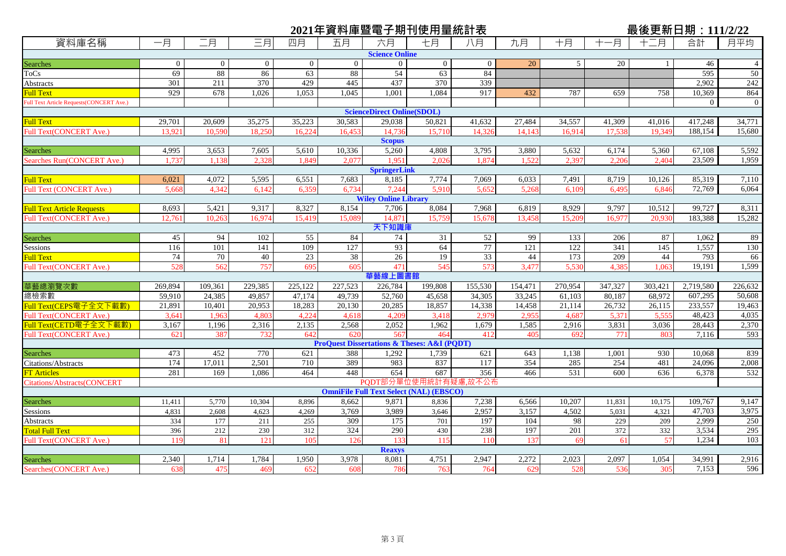## 資料庫名稱 ┃ 一月 ┃ 二月 ┃ 三月| 四月 ┃ 五月 ┃ 六月 ┃ 七月 ┃ 八月 ┃ 九月 ┃ 十月 ┃ 十一月 ┃ 十二月 ┃ 合計 ┃ 月平均 **2021年資料庫暨電子期刊使用量統計表<br>資料庫名稱 ┃ 一月 ┃ ̄月 ┃ ̄月┃ 四月 ┃ 五月 ┃ 六月 ┃ +月 ┃ 九月 ┃ +月 ┃ +一月 ┃ + ̄月 ┃ 合計 ┃ 月平均** Searches 1 0 0 0 0 0 0 0 0 0 0 0 0 0 20 5 20 1 46 4 ToCs (1988 88 86 63 88 54 63 84 54 595 50 Abstracts 1 301 211 370 429 445 437 370 339 1 1 2,902 242 Full Text 929 678 1,026 1,053 1,045 1,001 1,084 917 432 787 659 758 10,369 864 Full Text Article Requests(CONCERT Ave.) 0 0 Full Text 29,701 20,609 35,275 35,223 30,583 29,038 50,821 41,632 27,484 34,557 41,309 41,016 417,248 34,771 Full Text(CONCERT Ave.) 13,921 10,590 18,250 16,224 16,453 14,736 15,710 14,326 14,143 16,914 17,538 19,349 188,154 15,680 Searches 4,995 3,653 7,605 5,610 10,336 5,260 4,808 3,795 3,880 5,632 6,174 5,360 67,108 5,592 Searches Run(CONCERT Ave.) 1,737 1,138 2,328 1,849 2,077 1,951 2,026 1,874 1,522 2,397 2,206 2,404 23,509 1,959 Full Text 6,021 4,072 5,595 6,551 7,683 8,185 7,774 7,069 6,033 7,491 8,719 10,126 85,319 7,110 Full Text (CONCERT Ave.) 5,668 4,342 6,142 6,359 6,734 7,244 5,910 5,652 5,268 6,109 6,495 6,846 72,769 6,064 Full Text Article Requests 8,693 5,421 9,317 8,327 8,154 7,706 8,084 7,968 6,819 8,929 9,797 10,512 99,727 8,311 Full Text(CONCERT Ave.) 12,761 10,263 16,974 15,419 15,089 14,871 15,759 15,678 13,458 15,209 16,977 20,930 183,388 15,282 Searches 19. 1,062 1,062 1,062 1,062 1,062 1,062 1,062 1,062 1,062 1,062 1,062 1,062 1,062 1,062 1,062 1,062 1 Sessions 116 101 141 109 127 93 64 77 121 122 341 145 1,557 130 Full Text 173 | 74 70 40 23 38 26 19 33 44 173 209 44 793 66 Full Text(CONCERT Ave.) 528 562 757 695 605 471 545 573 3,477 5,530 4,385 1,063 19,191 1,599 華藝總瀏覽次數 269,894 | 109,361 | 229,385 | 225,122 | 227,523 | 226,784 | 199,808 | 155,530 | 154,471 | 270,954 | 347,327 | 303,421 | 2,719,580 | 226,632 總檢索數 | 59,910 | 24,385 | 49,857 | 47,174 | 49,739 | 52,760 | 45,658 | 34,305 | 33,245 | 61,103 | 80,187 | 68,972 | 607,295 | 50,608 Full Text(CEPS電子全文下載數) 21,891 10,401 20,953 18,283 20,130 20,285 18,857 14,338 14,458 21,114 26,732 26,115 233,557 19,463 Full Text(CONCERT Ave.) 3,641 1,963 4,803 4,224 4,618 4,209 3,418 2,979 2,955 4,687 5,371 5,555 48,423 4,035 <u>ivill Text(CETD電子全文下載數) </u> 3,167 | 1,196 | 2,316 | 2,135 | 2,568 | 2,052 | 1,679 | 1,585 | 2,916 | 3,831 | 3,036 | 28,443 | 2,370 Full Text(CONCERT Ave.) 621 387 732 642 620 567 464 412 405 692 771 803 7,116 593 Searches 19 473 452 770 621 388 1,292 1,739 621 643 1,138 1,001 930 10,068 839 Citations/Abstracts 174 17,011 2,501 710 389 983 837 117 354 285 254 481 24,096 2,008 FT Articles 281 169 1,086 464 448 654 687 356 466 531 600 636 6,378 532 Citations/Abstracts(CONCERT Searches 11,411 11,411 5,770 10,304 8,896 8,662 9,871 8,836 7,238 6,566 10,207 11,831 10,175 109,767 9,147 Sessions 4,831 2,608 4,623 4,269 3,769 3,989 3,646 2,957 3,157 4,502 5,031 4,321 47,703 3,975 Abstracts 334 177 211 255 309 175 701 197 104 98 229 209 2,999 250 Total Full Text 396 212 230 312 324 290 430 238 197 201 372 332 3,534 295 Full Text(CONCERT Ave.) | 119 81 121 105 126 133 115 110 137 69 61 57 1,234 103 Searches 2,340 1,714 1,784 1,950 3,978 8,081 4,751 2,947 2,272 2,023 2,097 1,054 34,991 2,916 Searches(CONCERT Ave.) | 638 | 475 | 469 | 652 | 608 | 786 | 764 | 629 | 528 | 536 | 305 | 7,153 | 596 PQDT部分單位使用統計有疑慮,故不公布 **OmniFile Full Text Select (NAL) (EBSCO) Reaxys Scopus SpringerLink Wiley Online Library** 天下知識 **華藝線上圖書館 ProQuest Dissertations & Theses: A&I (PQDT) Science Online ScienceDirect Online(SDOL)**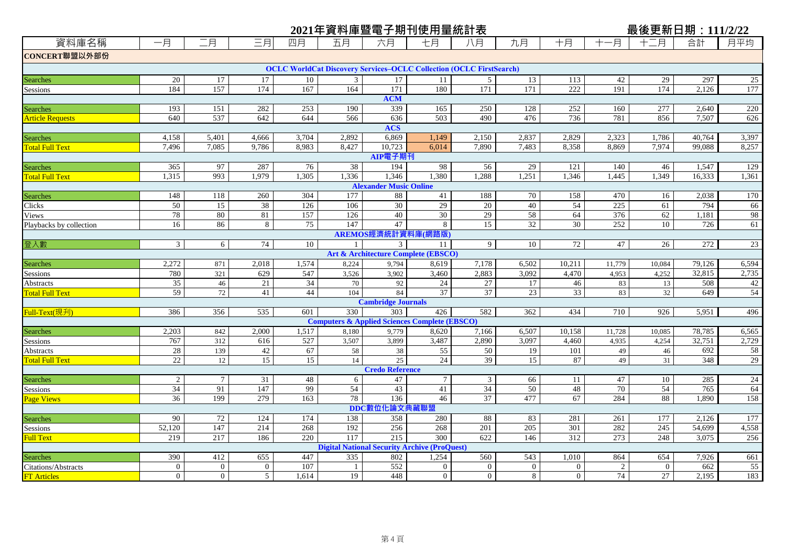|                                           |                       |                 |                       |                       | 2021年資料庫暨電子期刊使用量統計表                                                        |                               |                                                |                 |                       |                |                | 最後更新日期: 111/2/22 |            |                 |
|-------------------------------------------|-----------------------|-----------------|-----------------------|-----------------------|----------------------------------------------------------------------------|-------------------------------|------------------------------------------------|-----------------|-----------------------|----------------|----------------|------------------|------------|-----------------|
| 資料庫名稱                                     | 一月                    | 二月              | 三月                    | 四月                    | 五月                                                                         | 六月                            | 七月                                             | 八月              | 九月                    | 十月             | 十一月            | 十二月              | 合計         | 月平均             |
| CONCERT聯盟以外部份                             |                       |                 |                       |                       |                                                                            |                               |                                                |                 |                       |                |                |                  |            |                 |
|                                           |                       |                 |                       |                       | <b>OCLC WorldCat Discovery Services-OCLC Collection (OCLC FirstSearch)</b> |                               |                                                |                 |                       |                |                |                  |            |                 |
| Searches                                  | 20                    | 17              | 17                    | 10                    | $\mathfrak{Z}$                                                             | 17                            | 11                                             | $5\overline{)}$ | 13                    | 113            | 42             | 29               | 297        | 25              |
| Sessions                                  | 184                   | 157             | 174                   | 167                   | 164                                                                        | 171                           | 180                                            | 171             | 171                   | 222            | 191            | 174              | 2,126      | 177             |
|                                           |                       |                 |                       |                       |                                                                            | <b>ACM</b>                    |                                                |                 |                       |                |                |                  |            |                 |
| Searches                                  | 193                   | 151             | 282                   | 253                   | 190                                                                        | 339                           | 165                                            | 250             | 128                   | 252            | 160            | 277              | 2,640      | 220             |
| <b>Article Requests</b>                   | 640                   | 537             | 642                   | 644                   | 566                                                                        | 636                           | 503                                            | 490             | 476                   | 736            | 781            | 856              | 7,507      | 626             |
|                                           |                       |                 |                       |                       |                                                                            | <b>ACS</b>                    |                                                |                 |                       |                |                |                  |            |                 |
| <b>Searches</b>                           | 4,158                 | 5,401           | 4,666                 | 3,704                 | 2,892                                                                      | 6,869                         | 1,149                                          | 2,150           | 2,837                 | 2,829          | 2,323          | 1,786            | 40,764     | 3,397           |
| <b>Total Full Text</b>                    | 7,496                 | 7,085           | 9,786                 | 8,983                 | 8,427                                                                      | 10,723<br>AIP電子期刊             | 6,014                                          | 7,890           | 7,483                 | 8,358          | 8,869          | 7,974            | 99,088     | 8,257           |
|                                           | 365                   | 97              | 287                   | 76                    | 38                                                                         | 194                           | 98                                             | 56              | 29                    | 121            | 140            | 46               | 1,547      | 129             |
| <b>Searches</b><br><b>Total Full Text</b> | 1,315                 | 993             | 1,979                 | 1.305                 | 1,336                                                                      | 1.346                         | 1,380                                          | 1,288           | 1,251                 | 1.346          | 1,445          | 1.349            | 16.333     | 1,361           |
|                                           |                       |                 |                       |                       |                                                                            | <b>Alexander Music Online</b> |                                                |                 |                       |                |                |                  |            |                 |
| Searches                                  | 148                   | 118             | 260                   | 304                   | 177                                                                        | 88                            | 41                                             | 188             | 70                    | 158            | 470            | 16               | 2,038      | 170             |
| Clicks                                    | 50                    | 15              | 38                    | 126                   | 106                                                                        | 30                            | 29                                             | 20              | 40                    | 54             | 225            | 61               | 794        | 66              |
| Views                                     | 78                    | 80              | 81                    | 157                   | 126                                                                        | 40                            | 30                                             | 29              | 58                    | 64             | 376            | 62               | 1,181      | 98              |
| Playbacks by collection                   | 16                    | 86              | 8                     | 75                    | 147                                                                        | 47                            | 8                                              | $\overline{15}$ | 32                    | 30             | 252            | 10               | 726        | 61              |
|                                           |                       |                 |                       |                       |                                                                            |                               | AREMOS經濟統計資料庫(網路版)                             |                 |                       |                |                |                  |            |                 |
| 登入數                                       | $\overline{3}$        | $6\overline{6}$ | 74                    | 10                    |                                                                            | 3                             | 11                                             | 9               | 10                    | 72             | 47             | 26               | 272        | 23              |
|                                           |                       |                 |                       |                       |                                                                            |                               | <b>Art &amp; Architecture Complete (EBSCO)</b> |                 |                       |                |                |                  |            |                 |
| <b>Searches</b>                           | 2,272                 | 871             | 2,018                 | 1,574                 | 8,224                                                                      | 9,794                         | 8,619                                          | 7,178           | 6,502                 | 10,211         | 11,779         | 10,084           | 79,126     | 6,594           |
| Sessions                                  | 780                   | 321             | 629                   | 547                   | 3,526                                                                      | 3,902                         | 3,460                                          | 2,883           | 3,092                 | 4,470          | 4,953          | 4,252            | 32,815     | 2,735           |
| Abstracts                                 | $\overline{35}$       | $46\,$          | 21                    | $\overline{34}$       | 70                                                                         | 92                            | 24                                             | $27\,$          | 17                    | 46             | 83             | 13               | 508        | 42              |
| <b>Total Full Text</b>                    | 59                    | 72              | 41                    | 44                    | 104                                                                        | 84                            | 37                                             | 37              | 23                    | 33             | 83             | 32               | 649        | 54              |
|                                           |                       |                 |                       |                       |                                                                            | <b>Cambridge Journals</b>     |                                                |                 |                       |                |                |                  |            |                 |
| Full-Text(現刋)                             | 386                   | 356             | 535                   | 601                   | 330                                                                        | 303                           | 426                                            | 582             | 362                   | 434            | 710            | 926              | 5,951      | 496             |
|                                           |                       |                 |                       |                       | <b>Computers &amp; Applied Sciences Complete (EBSCO)</b>                   |                               |                                                |                 |                       |                |                |                  |            |                 |
| <b>Searches</b>                           | 2,203                 | 842             | 2,000                 | 1,517                 | 8,180                                                                      | 9,779                         | 8,620                                          | 7,166           | 6,507                 | 10.158         | 11,728         | 10.085           | 78,785     | 6,565           |
| Sessions                                  | 767                   | 312             | 616                   | 527                   | 3,507                                                                      | 3,899                         | 3,487                                          | 2,890           | 3,097                 | 4,460          | 4,935          | 4,254            | 32,751     | 2,729           |
| Abstracts<br><b>Total Full Text</b>       | 28<br>$\overline{22}$ | 139<br>12       | 42<br>$\overline{15}$ | 67<br>$\overline{15}$ | 58<br>14                                                                   | 38<br>25                      | 55<br>24                                       | 50<br>39        | 19<br>$\overline{15}$ | 101<br>87      | 49<br>49       | 46<br>31         | 692<br>348 | 58<br>29        |
|                                           |                       |                 |                       |                       |                                                                            | <b>Credo Reference</b>        |                                                |                 |                       |                |                |                  |            |                 |
| <b>Searches</b>                           | 2                     | $7\phantom{.0}$ | 31                    | 48                    | 6                                                                          | 47                            | $7\phantom{.0}$                                | 3               | 66                    | 11             | 47             | 10               | 285        | 24              |
| Sessions                                  | 34                    | 91              | 147                   | 99                    | $\overline{54}$                                                            | 43                            | 41                                             | $\overline{34}$ | $\overline{50}$       | 48             | 70             | 54               | 765        | 64              |
| <b>Page Views</b>                         | 36                    | 199             | 279                   | 163                   | 78                                                                         | 136                           | 46                                             | 37              | 477                   | 67             | 284            | 88               | 1,890      | 158             |
|                                           |                       |                 |                       |                       |                                                                            | DDC數位化論文典藏聯盟                  |                                                |                 |                       |                |                |                  |            |                 |
| Searches                                  | 90                    | 72              | 124                   | 174                   | 138                                                                        | 358                           | 280                                            | 88              | 83                    | 281            | 261            | 177              | 2,126      | 177             |
| Sessions                                  | 52,120                | 147             | 214                   | 268                   | 192                                                                        | 256                           | 268                                            | 201             | 205                   | 301            | 282            | 245              | 54,699     | 4,558           |
| <b>Full Text</b>                          | 219                   | 217             | 186                   | 220                   | 117                                                                        | 215                           | $\overline{300}$                               | 622             | 146                   | 312            | 273            | 248              | 3,075      | 256             |
|                                           |                       |                 |                       |                       | <b>Digital National Security Archive (ProQuest)</b>                        |                               |                                                |                 |                       |                |                |                  |            |                 |
| Searches                                  | 390                   | 412             | 655                   | 447                   | 335                                                                        | 802                           | 1,254                                          | 560             | 543                   | 1,010          | 864            | 654              | 7,926      | 661             |
| Citations/Abstracts                       | $\overline{0}$        | $\overline{0}$  | $\overline{0}$        | 107                   | $\mathbf{1}$                                                               | 552                           | $\overline{0}$                                 | $\overline{0}$  | $\overline{0}$        | $\overline{0}$ | $\overline{2}$ | $\overline{0}$   | 662        | $\overline{55}$ |
| <b>FT</b> Articles                        | $\overline{0}$        | $\overline{0}$  | 5 <sup>5</sup>        | 1,614                 | 19                                                                         | 448                           | $\overline{0}$                                 | $\overline{0}$  | 8                     | $\overline{0}$ | 74             | 27               | 2,195      | 183             |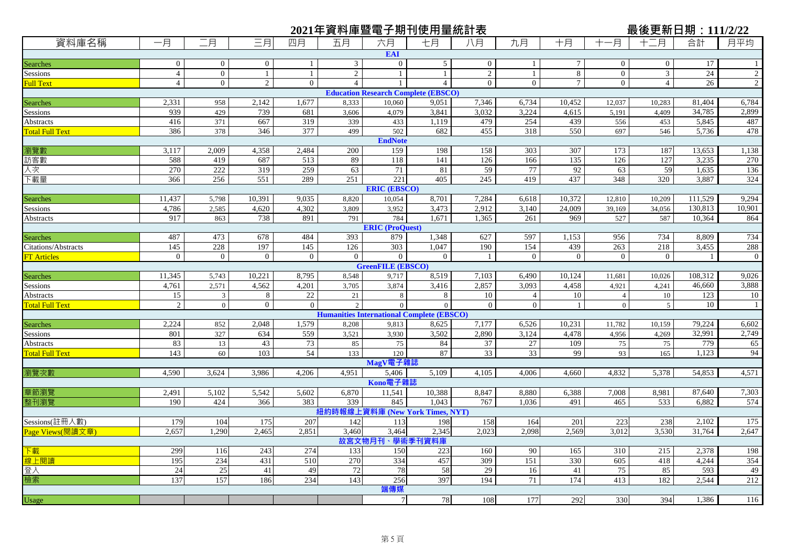| 2021年資料庫暨電子期刊使用量統計表<br>最後更新日期:111/2/22 |                |                |                |                |                |                          |                                                  |                |                |                  |                |                         |                 |                |
|----------------------------------------|----------------|----------------|----------------|----------------|----------------|--------------------------|--------------------------------------------------|----------------|----------------|------------------|----------------|-------------------------|-----------------|----------------|
| 資料庫名稱                                  | 一月             | 二月             | 三月             | 四月             | 五月             | 六月                       | 七月                                               | 八月             | 九月             | 十月               | -月             | 十二月                     | 合計              | 月平均            |
|                                        |                |                |                |                |                | <b>EAI</b>               |                                                  |                |                |                  |                |                         |                 |                |
| Searches                               | $\overline{0}$ | $\overline{0}$ | $\mathbf{0}$   | 1              | $\mathfrak{Z}$ | $\mathbf{0}$             | 5                                                | $\overline{0}$ | $\mathbf{1}$   | $\boldsymbol{7}$ | $\mathbf{0}$   | $\boldsymbol{0}$        | 17              |                |
| Sessions                               | $\overline{4}$ | $\mathbf{0}$   | $\mathbf{1}$   | -1             | $\overline{2}$ | $\mathbf{1}$             | 1                                                | $\sqrt{2}$     | $\mathbf{1}$   | $\,8\,$          | $\overline{0}$ | $\overline{\mathbf{3}}$ | 24              | $\overline{2}$ |
| Full Text                              | $\overline{4}$ | $\overline{0}$ | $\overline{2}$ | $\overline{0}$ | $\overline{4}$ | $\mathbf{1}$             | $\overline{4}$                                   | $\mathbf{0}$   | $\overline{0}$ | $\tau$           | $\overline{0}$ | $\overline{4}$          | 26              | $\overline{2}$ |
|                                        |                |                |                |                |                |                          | <b>Education Research Complete (EBSCO)</b>       |                |                |                  |                |                         |                 |                |
| Searches                               | 2,331          | 958            | 2,142          | 1,677          | 8,333          | 10,060                   | 9,051                                            | 7,346          | 6,734          | 10,452           | 12,037         | 10,283                  | 81,404          | 6,784          |
| Sessions                               | 939            | 429            | 739            | 681            | 3,606          | 4,079                    | 3,841                                            | 3,032          | 3,224          | 4,615            | 5,191          | 4,409                   | 34,785          | 2,899          |
| Abstracts                              | 416            | 371            | 667            | 319            | 339            | 433                      | 1,119                                            | 479            | 254            | 439              | 556            | 453                     | 5,845           | 487            |
| <b>Total Full Text</b>                 | 386            | 378            | 346            | 377            | 499            | 502                      | 682                                              | 455            | 318            | 550              | 697            | 546                     | 5,736           | 478            |
| 瀏覽數                                    | 3,117          | 2,009          | 4,358          |                | 200            | <b>EndNote</b>           | 198                                              | 158            | 303            | 307              | 173            |                         |                 |                |
|                                        | 588            | 419            | 687            | 2,484<br>513   | 89             | 159<br>118               | 141                                              | 126            | 166            | 135              | 126            | 187<br>127              | 13,653<br>3,235 | 1,138<br>270   |
| 訪客數                                    | 270            | 222            | 319            | 259            | 63             | 71                       | 81                                               | 59             | 77             | 92               | 63             | 59                      |                 | 136            |
| 人次                                     | 366            | 256            | 551            | 289            | 251            | 221                      | 405                                              | 245            | 419            | 437              | 348            | 320                     | 1,635<br>3,887  | 324            |
| 下載量                                    |                |                |                |                |                | <b>ERIC (EBSCO)</b>      |                                                  |                |                |                  |                |                         |                 |                |
| Searches                               | 11,437         | 5,798          | 10,391         | 9,035          | 8,820          | 10,054                   | 8,701                                            | 7,284          | 6,618          | 10,372           | 12,810         | 10,209                  | 111,529         | 9,294          |
| Sessions                               | 4,786          | 2,585          | 4,620          | 4,302          | 3,809          | 3,952                    | 3,473                                            | 2.912          | 3,140          | 24,009           | 39,169         | 34,056                  | 130,813         | 10,901         |
| Abstracts                              | 917            | 863            | 738            | 891            | 791            | 784                      | 1,671                                            | 1,365          | 261            | 969              | 527            | 587                     | 10,364          | 864            |
|                                        |                |                |                |                |                | <b>ERIC (ProQuest)</b>   |                                                  |                |                |                  |                |                         |                 |                |
| Searches                               | 487            | 473            | 678            | 484            | 393            | 879                      | 1,348                                            | 627            | 597            | 1,153            | 956            | 734                     | 8,809           | 734            |
| Citations/Abstracts                    | 145            | 228            | 197            | 145            | 126            | 303                      | 1.047                                            | 190            | 154            | 439              | 263            | 218                     | 3,455           | 288            |
| <b>FT Articles</b>                     | $\overline{0}$ | $\overline{0}$ | $\overline{0}$ | $\mathbf{0}$   | $\overline{0}$ | $\overline{0}$           | $\overline{0}$                                   | -1             | $\overline{0}$ | $\overline{0}$   | $\overline{0}$ | $\overline{0}$          | -1              | $\mathbf 0$    |
|                                        |                |                |                |                |                | <b>GreenFILE (EBSCO)</b> |                                                  |                |                |                  |                |                         |                 |                |
| Searches                               | 11,345         | 5,743          | 10,221         | 8,795          | 8,548          | 9,717                    | 8,519                                            | 7,103          | 6,490          | 10,124           | 11,681         | 10,026                  | 108,312         | 9,026          |
| Sessions                               | 4,761          | 2,571          | 4,562          | 4,201          | 3,705          | 3,874                    | 3,416                                            | 2,857          | 3,093          | 4,458            | 4,921          | 4,241                   | 46,660          | 3,888          |
| Abstracts                              | 15             | 3              | 8              | 22             | 21             | 8                        | 8                                                | 10             | $\overline{4}$ | 10               | $\overline{4}$ | 10                      | 123             | 10             |
| <b>Total Full Text</b>                 | $\sqrt{2}$     | $\mathbf{0}$   | $\mathbf{0}$   | $\theta$       | $\overline{2}$ | $\Omega$                 | $\overline{0}$                                   | $\mathbf{0}$   | $\overline{0}$ | -1               | $\overline{0}$ | 5                       | 10              | $\mathbf{1}$   |
|                                        |                |                |                |                |                |                          | <b>Humanities International Complete (EBSCO)</b> |                |                |                  |                |                         |                 |                |
| Searches                               | 2,224          | 852            | 2,048          | 1,579          | 8,208          | 9,813                    | 8,625                                            | 7,177          | 6,526          | 10,231           | 11,782         | 10,159                  | 79,224          | 6,602          |
| Sessions                               | 801            | 327            | 634            | 559            | 3,521          | 3,930                    | 3,502                                            | 2,890          | 3,124          | 4,478            | 4,956          | 4,269                   | 32,991          | 2,749          |
| Abstracts                              | 83             | 13             | 43             | 73             | 85             | 75                       | 84                                               | 37             | 27             | 109              | 75             | 75                      | 779             | 65             |
| <b>Total Full Text</b>                 | 143            | 60             | 103            | 54             | 133            | 120                      | 87                                               | 33             | 33             | 99               | 93             | 165                     | 1,123           | 94             |
|                                        |                |                |                |                |                | MagV電子雜誌                 |                                                  |                |                |                  |                |                         |                 |                |
| 瀏覽次數                                   | 4,590          | 3,624          | 3,986          | 4,206          | 4,951          | 5,406<br>Kono電子雜誌        | 5,109                                            | 4,105          | 4,006          | 4,660            | 4,832          | 5,378                   | 54,853          | 4,571          |
| 章節瀏覽                                   | 2,491          | 5,102          | 5,542          | 5,602          | 6,870          | 11,541                   | 10,388                                           | 8,847          | 8,880          | 6,388            | 7,008          | 8.981                   | 87,640          | 7,303          |
| 整刊瀏覽                                   | 190            | 424            | 366            | 383            | 339            | 845                      | 1.043                                            | 767            | 1,036          | 491              | 465            | 533                     | 6,882           | 574            |
|                                        |                |                |                |                |                |                          | 紐約時報線上資料庫 (New York Times, NYT)                  |                |                |                  |                |                         |                 |                |
| Sessions(註冊人數)                         | 179            | 104            | 175            | 207            | 142            | 113                      | 198                                              | 158            | 164            | 201              | 223            | 238                     | 2,102           | 175            |
| Page Views(閱讀文章)                       | 2,657          | 1,290          | 2,465          | 2,851          | 3,460          | 3,464                    | 2,345                                            | 2,023          | 2,098          | 2,569            | 3,012          | 3,530                   | 31,764          | 2,647          |
|                                        |                |                |                |                |                | 故宮文物月刊、學術季刊資料庫           |                                                  |                |                |                  |                |                         |                 |                |
| 下載                                     | 299            | 116            | 243            | 274            | 133            | 150                      | 223                                              | 160            | 90             | 165              | 310            | 215                     | 2,378           | 198            |
| 線上閱讀                                   | 195            | 234            | 431            | 510            | 270            | 334                      | 457                                              | 309            | 151            | 330              | 605            | 418                     | 4,244           | 354            |
| 登入                                     | 24             | 25             | 41             | 49             | 72             | 78                       | 58                                               | 29             | 16             | 41               | 75             | 85                      | 593             | 49             |
| 檢索                                     | 137            | 157            | 186            | 234            | 143            | 256                      | 397                                              | 194            | 71             | 174              | 413            | 182                     | 2,544           | 212            |
|                                        |                |                |                |                |                | 端傳媒                      |                                                  |                |                |                  |                |                         |                 |                |
| Usage                                  |                |                |                |                |                | 7 <sup>1</sup>           | 78                                               | 108            | 177            | 292              | 330            | 394                     | 1,386           | 116            |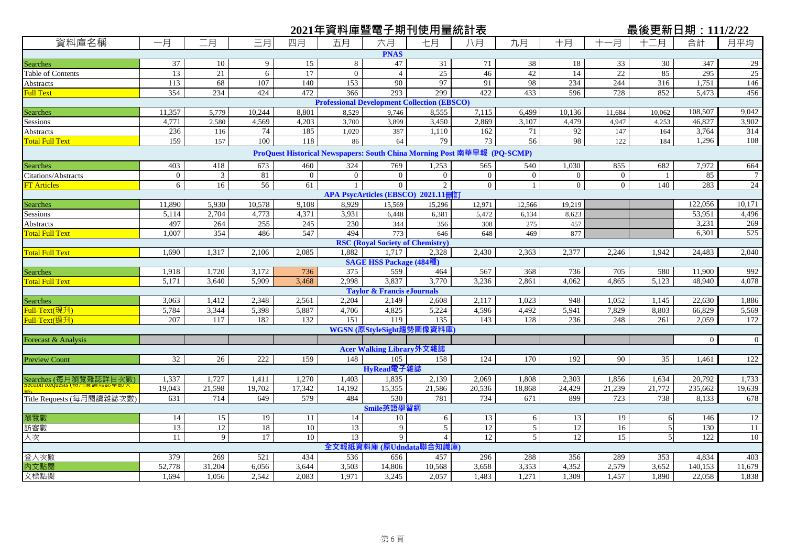|                           |                 |                |                 |                | 2021年資料庫暨電子期刊使用量統計表                                                     |                                         |                                    |                 |                |                 |                 | 最後更新日期: 111/2/22 |                  |                  |
|---------------------------|-----------------|----------------|-----------------|----------------|-------------------------------------------------------------------------|-----------------------------------------|------------------------------------|-----------------|----------------|-----------------|-----------------|------------------|------------------|------------------|
| 資料庫名稱                     | 一月              | 二月             | 三月              | 四月             | 五月                                                                      | 六月                                      | 七月                                 | 八月              | 九月             | 十月              | 十一月             | 十二月              | 合計               | 月平均              |
|                           |                 |                |                 |                |                                                                         | <b>PNAS</b>                             |                                    |                 |                |                 |                 |                  |                  |                  |
| Searches                  | 37              | 10             | 9               | 15             | 8                                                                       | 47                                      | 31                                 | 71              | 38             | 18              | 33              | 30               | 347              | 29               |
| Table of Contents         | 13              | 21             | 6               | 17             | $\overline{0}$                                                          | $\overline{4}$                          | 25                                 | 46              | 42             | 14              | 22              | 85               | 295              | 25               |
| Abstracts                 | 113             | 68             | 107             | 140            | 153                                                                     | 90                                      | 97                                 | 91              | 98             | 234             | 244             | 316              | 1,751            | 146              |
| <b>Full Text</b>          | 354             | 234            | 424             | 472            | 366                                                                     | 293                                     | 299                                | 422             | 433            | 596             | 728             | 852              | 5,473            | 456              |
|                           |                 |                |                 |                | <b>Professional Development Collection (EBSCO)</b>                      |                                         |                                    |                 |                |                 |                 |                  |                  |                  |
| Searches                  | 11,357          | 5,779          | 10,244          | 8,801          | 8,529                                                                   | 9,746                                   | 8,555                              | 7,115           | 6,499          | 10,136          | 11,684          | 10,062           | 108,507          | 9,042            |
| Sessions                  | 4,771           | 2,580          | 4,569           | 4,203          | 3,700                                                                   | 3,899                                   | 3,450                              | 2,869           | 3,107          | 4,479           | 4,947           | 4,253            | 46,827           | 3,902            |
| <b>Abstracts</b>          | 236             | 116            | 74              | 185            | 1,020                                                                   | 387                                     | 1,110                              | 162             | 71             | 92              | 147             | 164              | 3,764            | 314              |
| <b>Total Full Text</b>    | 159             | 157            | 100             | 118            | 86                                                                      | 64                                      | 79                                 | 73              | 56             | 98              | 122             | 184              | 1,296            | 108              |
|                           |                 |                |                 |                | ProQuest Historical Newspapers: South China Morning Post 南華早報 (PQ-SCMP) |                                         |                                    |                 |                |                 |                 |                  |                  |                  |
| Searches                  | 403             | 418            | 673             | 460            | 324                                                                     | 769                                     | 1,253                              | 565             | 540            | 1,030           | 855             | 682              | 7,972            | 664              |
| Citations/Abstracts       | $\overline{0}$  | $\mathfrak{Z}$ | 81              | $\overline{0}$ | $\overline{0}$                                                          | $\overline{0}$                          | $\overline{0}$                     | $\overline{0}$  | $\overline{0}$ | $\overline{0}$  | $\overline{0}$  | -1               | 85               | $\overline{7}$   |
| <b>FT</b> Articles        | 6               | 16             | 56              | 61             |                                                                         | $\overline{0}$                          | $\overline{2}$                     | $\overline{0}$  | $\mathbf{1}$   | $\mathbf{0}$    | $\overline{0}$  | 140              | 283              | 24               |
|                           |                 |                |                 |                |                                                                         |                                         | APA PsycArticles (EBSCO) 2021.11刪訂 |                 |                |                 |                 |                  |                  |                  |
| <b>Searches</b>           | 11,890          | 5,930          | 10,578          | 9,108          | 8,929                                                                   | 15,569                                  | 15,296                             | 12,971          | 12,566         | 19,219          |                 |                  | 122,056          | 10,171           |
| Sessions                  | 5,114           | 2,704          | 4,773           | 4,371          | 3,931                                                                   | 6,448                                   | 6,381                              | 5,472           | 6,134          | 8,623           |                 |                  | 53,951           | 4,496            |
| <b>Abstracts</b>          | 497             | 264            | 255             | 245            | 230                                                                     | 344                                     | 356                                | 308             | 275            | 457             |                 |                  | 3,231            | 269              |
| <b>Total Full Text</b>    | 1,007           | 354            | 486             | 547            | 494                                                                     | 773                                     | 646                                | 648             | 469            | 877             |                 |                  | 6,301            | 525              |
|                           |                 |                |                 |                |                                                                         | <b>RSC</b> (Royal Society of Chemistry) |                                    |                 |                |                 |                 |                  |                  |                  |
| <b>Total Full Text</b>    | 1,690           | 1,317          | 2,106           | 2,085          | 1,882                                                                   | 1.717                                   | 2,328                              | 2,430           | 2,363          | 2,377           | 2,246           | 1,942            | 24,483           | 2,040            |
|                           |                 |                |                 |                |                                                                         | <b>SAGE HSS Package (484種)</b>          |                                    |                 |                |                 |                 |                  |                  |                  |
| <b>Searches</b>           | 1,918           | 1,720          | 3,172           | 736            | $\overline{375}$                                                        | 559                                     | 464                                | 567             | 368            | 736             | 705             | 580              | 11.900           | 992              |
| <b>Total Full Text</b>    | 5,171           | 3,640          | 5,909           | 3,468          | 2,998                                                                   | 3,837                                   | 3,770                              | 3,236           | 2,861          | 4,062           | 4,865           | 5,123            | 48,940           | 4,078            |
|                           |                 |                |                 |                |                                                                         | <b>Taylor &amp; Francis eJournals</b>   |                                    |                 |                |                 |                 |                  |                  |                  |
| <b>Searches</b>           | 3,063<br>5,784  | 1,412<br>3,344 | 2,348           | 2,561<br>5,887 | 2,204<br>4,706                                                          | 2,149<br>4,825                          | 2,608                              | 2,117<br>4,596  | 1,023          | 948<br>5,941    | 1,052           | 1,145            | 22,630<br>66,829 | 1,886            |
| Full-Text(現刋)             |                 |                | 5,398           |                |                                                                         |                                         | 5,224                              |                 | 4,492          |                 | 7,829           | 8,803            |                  | 5,569            |
| Full-Text(過刋)             | 207             | 117            | 182             | 132            | 151                                                                     | 119                                     | 135<br>WGSN (原StyleSight趨勢圖像資料庫    | 143             | 128            | 236             | 248             | 261              | 2,059            | 172              |
|                           |                 |                |                 |                |                                                                         |                                         |                                    |                 |                |                 |                 |                  | $\overline{0}$   | $\boldsymbol{0}$ |
| Forecast & Analysis       |                 |                |                 |                |                                                                         | Acer Walking Library外文雜誌                |                                    |                 |                |                 |                 |                  |                  |                  |
| <b>Preview Count</b>      | 32              | 26             | 222             | 159            | 148                                                                     | 105                                     | 158                                | 124             | 170            | 192             | 90              | 35               | 1,461            | 122              |
|                           |                 |                |                 |                |                                                                         | HyRead電子雜誌                              |                                    |                 |                |                 |                 |                  |                  |                  |
| Searches (每月瀏覽雜誌詳目次數)     | 1,337           | 1,727          | 1,411           | 1,270          | 1,403                                                                   | 1,835                                   | 2,139                              | 2,069           | 1,808          | 2,303           | 1,856           | 1,634            | 20,792           | 1,733            |
|                           | 19,043          | 21,598         | 19,702          | 17,342         | 14,192                                                                  | 15,355                                  | 21,586                             | 20,536          | 18,868         | 24,429          | 21,239          | 21,772           | 235,662          | 19,639           |
| Title Requests (每月閱讀雜誌次數) | 631             | 714            | 649             | 579            | 484                                                                     | 530                                     | 781                                | 734             | 671            | 899             | 723             | 738              | 8,133            | 678              |
|                           |                 |                |                 |                |                                                                         | Smile英語學習網                              |                                    |                 |                |                 |                 |                  |                  |                  |
| 瀏覽數                       | 14              | 15             | 19              | 11             | 14                                                                      | 10                                      | 6                                  | 13              | 6              | 13              | 19              | -6               | 146              | 12               |
| 訪客數                       | 13              | 12             | 18              | 10             | 13                                                                      | 9                                       | 5                                  | 12              | $\overline{5}$ | 12              | 16              | 5                | 130              | 11               |
| 人次                        | $\overline{11}$ | $\overline{9}$ | $\overline{17}$ | 10             | 13                                                                      | 9                                       | $\overline{4}$                     | $\overline{12}$ | $\overline{5}$ | $\overline{12}$ | $\overline{15}$ | 5                | 122              | 10               |
|                           |                 |                |                 |                |                                                                         |                                         | 全文報紙資料庫 (原Udndata聯合知識庫)            |                 |                |                 |                 |                  |                  |                  |
| 登入次數                      | 379             | 269            | 521             | 434            | 536                                                                     | 656                                     | 457                                | 296             | 288            | 356             | 289             | 353              | 4,834            | 403              |
| 內文點閱                      | 52,778          | 31,204         | 6,056           | 3,644          | 3,503                                                                   | 14,806                                  | 10,568                             | 3,658           | 3,353          | 4,352           | 2,579           | 3,652            | 140,153          | 11,679           |
| 文標點閱                      | 1.694           | 1.056          | 2,542           | 2.083          | 1,971                                                                   | 3,245                                   | 2.057                              | 1.483           | 1.271          | 1,309           | 1,457           | 1.890            | 22,058           | 1,838            |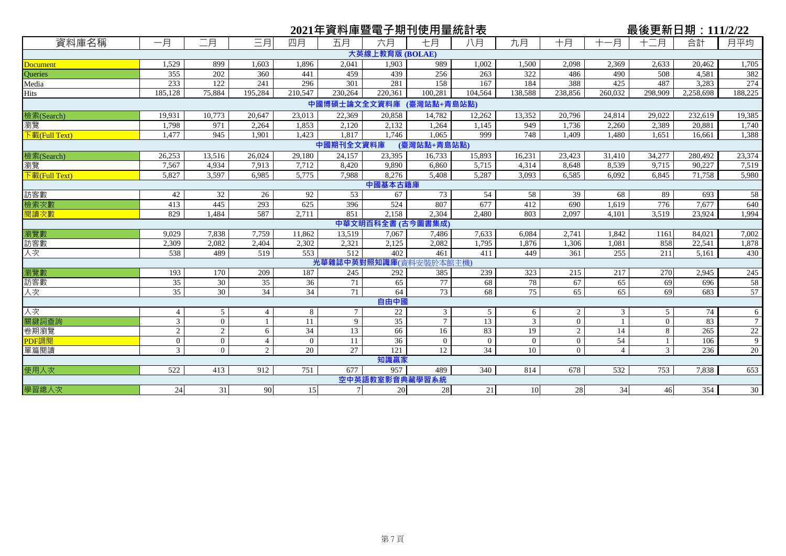|                                      |                 |                 |                |                 |           |                   | 2021年資料庫暨電子期刊使用量統計表      |                 |                |                |                | 最後更新日期:111/2/22 |           |                |
|--------------------------------------|-----------------|-----------------|----------------|-----------------|-----------|-------------------|--------------------------|-----------------|----------------|----------------|----------------|-----------------|-----------|----------------|
| 資料庫名稱                                | 一月              | 二月              | 三月             | 四月              | 五月        | 六月                | 七月                       | 八月              | 九月             | 十月             | 十一月            | 十二月             | 合計        | 月平均            |
|                                      |                 |                 |                |                 |           | 大英線上教育版 (BOLAE)   |                          |                 |                |                |                |                 |           |                |
| Document                             | 1,529           | 899             | 1,603          | 1,896           | 2.041     | 1,903             | 989                      | 1,002           | 1,500          | 2,098          | 2,369          | 2,633           | 20,462    | 1,705          |
| Queries                              | 355             | 202             | 360            | 441             | 459       | 439               | 256                      | 263             | 322            | 486            | 490            | 508             | 4,581     | 382            |
| Media                                | 233             | 122             | 241            | 296             | 301       | 281               | 158                      | 167             | 184            | 388            | 425            | 487             | 3,283     | 274            |
| Hits                                 | 185,128         | 75,884          | 195,284        | 210,547         | 230,264   | 220,361           | 100.281                  | 104.564         | 138,588        | 238,856        | 260.032        | 298,909         | 2,258,698 | 188,225        |
|                                      |                 |                 |                |                 |           |                   | 中國博碩士論文全文資料庫 (臺灣站點+青島站點) |                 |                |                |                |                 |           |                |
| 檢索(Search)                           | 19,931          | 10,773          | 20,647         | 23,013          | 22,369    | 20,858            | 14,782                   | 12,262          | 13,352         | 20,796         | 24,814         | 29,022          | 232,619   | 19,385         |
| 瀏覽                                   | 1,798           | 971             | 2,264          | 1,853           | 2,120     | 2.132             | 1,264                    | 1,145           | 949            | 1,736          | 2,260          | 2,389           | 20,881    | 1,740          |
| $\overline{\mathrm{F}}$ 載(Full Text) | 1,477           | 945             | 1.901          | 1,423           | 1.817     | 1.746             | 1.065                    | 999             | 748            | 1.409          | 1,480          | 1,651           | 16,661    | 1,388          |
|                                      |                 |                 |                |                 | 中國期刊全文資料庫 |                   | (臺灣站點+青島站點)              |                 |                |                |                |                 |           |                |
| 檢索(Search)                           | 26,253          | 13,516          | 26,024         | 29,180          | 24,157    | 23,395            | 16, 733                  | 15,893          | 16,231         | 23,423         | 31,410         | 34,277          | 280,492   | 23,374         |
| 瀏覽                                   | 7,567           | 4,934           | 7,913          | 7,712           | 8,420     | 9.890             | 6,860                    | 5,715           | 4,314          | 8,648          | 8,539          | 9,715           | 90,227    | 7,519          |
| $\overline{F}$ 載(Full Text)          | 5,827           | 3.597           | 6.985          | 5,775           | 7.988     | 8.276             | 5.408                    | 5,287           | 3.093          | 6.585          | 6.092          | 6.845           | 71.758    | 5,980          |
|                                      |                 |                 |                |                 |           | 中國基本古籍庫           |                          |                 |                |                |                |                 |           |                |
| 訪客數                                  | 42              | 32              | 26             | 92              | 53        | 67                | 73                       | 54              | 58             | 39             | 68             | 89              | 693       | 58             |
| 檢索次數                                 | 413             | 445             | 293            | 625             | 396       | 524               | 807                      | 677             | 412            | 690            | 1,619          | 776             | 7,677     | 640            |
| 閱讀次數                                 | 829             | 1,484           | 587            | 2,711           | 851       | 2,158             | 2,304                    | 2,480           | 803            | 2.097          | 4,101          | 3,519           | 23,924    | 1,994          |
|                                      |                 |                 |                |                 |           | 中華文明百科全書 (古今圖書集成) |                          |                 |                |                |                |                 |           |                |
| 瀏覽數                                  | 9.029           | 7,838           | 7,759          | 11,862          | 13,519    | 7,067             | 7,486                    | 7,633           | 6,084          | 2,741          | 1,842          | 1161            | 84,021    | 7,002          |
| 訪客數                                  | 2,309           | 2,082           | 2,404          | 2,302           | 2,321     | 2,125             | 2,082                    | 1,795           | 1,876          | 1,306          | 1,081          | 858             | 22,541    | 1,878          |
| 人次                                   | 538             | 489             | 519            | 553             | 512       | 402               | 461                      | 411             | 449            | 361            | 255            | 211             | 5,161     | 430            |
|                                      |                 |                 |                |                 |           | 光華雜誌中英對照知識庫(資)    | 料安装於本館主機)                |                 |                |                |                |                 |           |                |
| 瀏覽數                                  | 193             | 170             | 209            | 187             | 245       | 292               | 385                      | 239             | 323            | 215            | 217            | 270             | 2,945     | 245            |
| 訪客數                                  | $\overline{35}$ | 30              | 35             | 36              | 71        | 65                | 77                       | 68              | 78             | 67             | 65             | 69              | 696       | 58             |
| 人次                                   | $\overline{35}$ | $\overline{30}$ | 34             | $\overline{34}$ | 71        | 64                | 73                       | 68              | 75             | 65             | 65             | 69              | 683       | 57             |
|                                      |                 |                 |                |                 |           | 自由中國              |                          |                 |                |                |                |                 |           |                |
| 文人                                   | $\overline{4}$  | 5               | $\overline{4}$ | 8               | $\tau$    | 22                | $\mathfrak{Z}$           | 5               | 6              | 2              | $\mathfrak{Z}$ | 5               | 74        | 6              |
| 關鍵詞查詢                                | $\mathfrak{Z}$  | $\overline{0}$  |                | 11              | 9         | 35                | $\tau$                   | 13              | $\overline{3}$ | $\overline{0}$ |                | $\mathbf{0}$    | 83        | $\overline{7}$ |
| 卷期瀏覽                                 | $\overline{2}$  | $\sqrt{2}$      | 6              | $\overline{34}$ | 13        | 66                | 16                       | 83              | 19             | $\sqrt{2}$     | 14             | 8               | 265       | 22             |
| PDF調閲                                | $\overline{0}$  | $\overline{0}$  | $\overline{4}$ | $\overline{0}$  | 11        | 36                | $\overline{0}$           | $\overline{0}$  | $\overline{0}$ | $\mathbf{0}$   | 54             |                 | 106       | $\overline{9}$ |
| 單篇閱讀                                 | 3 <sup>1</sup>  | $\overline{0}$  | $\overline{2}$ | 20              | 27        | 121               | 12                       | $\overline{34}$ | 10             | $\overline{0}$ | $\overline{4}$ | 3               | 236       | 20             |
|                                      |                 |                 |                |                 |           | 知識贏家              |                          |                 |                |                |                |                 |           |                |
| 使用人次                                 | 522             | 413             | 912            | 751             | 677       | 957               | 489                      | 340             | 814            | 678            | 532            | 753             | 7,838     | 653            |
|                                      |                 |                 |                |                 |           | 空中英語教室影音典藏學習系統    |                          |                 |                |                |                |                 |           |                |
| 學習總人次                                | 24              | 31              | 90             | 15              | $7 \,$    | 20                | 28                       | 21              | 10             | 28             | 34             | 46              | 354       | 30             |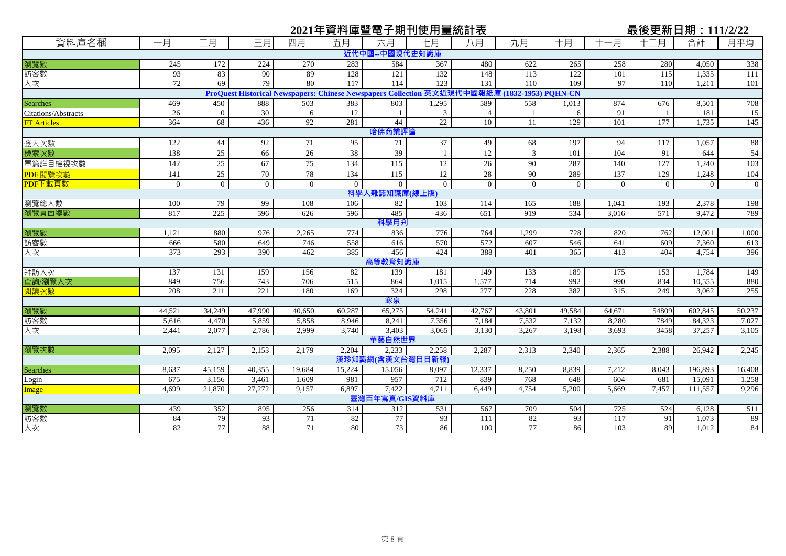|                     |                |                |                |                |                  |                  | 2021年資料庫暨電子期刊使用量統計表                                                   |                |                              |                |                |                | 最後更新日期: 111/2/22 |                |
|---------------------|----------------|----------------|----------------|----------------|------------------|------------------|-----------------------------------------------------------------------|----------------|------------------------------|----------------|----------------|----------------|------------------|----------------|
| 資料庫名稱               | 一月             | 二月             | 三月             | 四月             | 五月               | 六月               | 七月                                                                    | 八月             | 九月                           | 十月             | -月             | 十二月            | 合計               | 月平均            |
|                     |                |                |                |                |                  | 近代中國--中國現代史知識庫   |                                                                       |                |                              |                |                |                |                  |                |
| 瀏覽數                 | 245            | 172            | 224            | 270            | 283              | 584              | 367                                                                   | 480            | 622                          | 265            | 258            | 280            | 4,050            | 338            |
| 訪客數                 | 93             | 83             | 90             | 89             | 128              | 121              | 132                                                                   | 148            | 113                          | 122            | 101            | 115            | 1,335            | 111            |
| 人次                  | 72             | 69             | 79             | 80             | $\overline{117}$ | 114              | 123                                                                   | 131            | 110                          | 109            | 97             | 110            | 1,211            | 101            |
|                     |                |                |                |                |                  |                  | ProQuest Historical Newspapers: Chinese Newspapers Collection 英文近現代中國 | 報紙             | <b>車 (1832-1953) PQHN-CN</b> |                |                |                |                  |                |
| <b>Searches</b>     | 469            | 450            | 888            | 503            | 383              | 803              | 1,295                                                                 | 589            | 558                          | 1,013          | 874            | 676            | 8,501            | 708            |
| Citations/Abstracts | 26             | $\overline{0}$ | 30             | 6              | 12               | $\overline{1}$   | 3                                                                     | $\overline{4}$ |                              | 6              | 91             | -1             | 181              | 15             |
| <b>FT Articles</b>  | 364            | 68             | 436            | 92             | 281              | 44               | 22                                                                    | 10             | $\overline{11}$              | 129            | 101            | 177            | 1,735            | 145            |
|                     |                |                |                |                |                  | 哈佛商業評論           |                                                                       |                |                              |                |                |                |                  |                |
| 登入次數                | 122            | 44             | 92             | 71             | 95               | 71               | 37                                                                    | 49             | 68                           | 197            | 94             | 117            | 1,057            | 88             |
| 檢索次數                | 138            | 25             | 66             | 26             | 38               | 39               |                                                                       | 12             | 3                            | 101            | 104            | 91             | 644              | 54             |
| 單篇詳目檢視次數            | 142            | $25\,$         | 67             | 75             | 134              | 115              | 12                                                                    | 26             | 90                           | 287            | 140            | 127            | 1,240            | 103            |
| PDF 閱覽次數            | 141            | 25             | 70             | 78             | 134              | 115              | 12                                                                    | 28             | 90                           | 289            | 137            | 129            | 1,248            | 104            |
| PDF下載頁數             | $\overline{0}$ | $\overline{0}$ | $\overline{0}$ | $\overline{0}$ | $\theta$         | $\mathbf{0}$     | $\overline{0}$                                                        | $\theta$       | $\overline{0}$               | $\overline{0}$ | $\theta$       | $\overline{0}$ | $\overline{0}$   | $\overline{0}$ |
|                     |                |                |                |                |                  | 科學人雜誌知識庫(線上版)    |                                                                       |                |                              |                |                |                |                  |                |
| 瀏覽總人數               | 100            | 79             | 99             | 108            | 106              | 82               | 103                                                                   | 114            | 165                          | 188            | 1.041          | 193            | 2,378            | 198            |
| 瀏覽頁面總數              | 817            | 225            | 596            | 626            | 596              | 485              | 436                                                                   | 651            | 919                          | 534            | 3,016          | 571            | 9,472            | 789            |
|                     |                |                |                |                |                  | 科學月刋             |                                                                       |                |                              |                |                |                |                  |                |
| 瀏覽數                 | 1,121          | 880            | 976            | 2,265          | 774              | 836              | 776                                                                   | 764            | 1,299                        | 728            | 820            | 762            | 12,001           | 1,000          |
| 訪客數                 | 666            | 580            | 649            | 746            | 558              | 616              | 570                                                                   | 572            | 607                          | 546            | 641            | 609            | 7,360            | 613            |
| 人次                  | 373            | 293            | 390            | 462            | 385              | 456              | 424                                                                   | 388            | 401                          | 365            | 413            | 404            | 4,754            | 396            |
|                     |                |                |                |                |                  | 高等教育知識庫          |                                                                       |                |                              |                |                |                |                  |                |
| 拜訪人次                | 137            | 131            | 159            | 156            | 82               | 139              | 181                                                                   | 149            | 133                          | 189            | 175            | 153            | 1,784            | 149            |
| 查詢/瀏覽人次             | 849            | 756            | 743            | 706            | 515              | 864              | 1,015                                                                 | 1,577          | 714                          | 992            | 990            | 834            | 10,555           | 880            |
| 開讀次數                | 208            | 211            | 221            | 180            | 169              | 324              | 298                                                                   | 277            | 228                          | 382            | 315            | 249            | 3.062            | 255            |
|                     |                |                |                |                |                  | 寒泉               |                                                                       |                |                              |                |                |                |                  |                |
| 瀏覽數                 | 44,521         | 34,249         | 47,990         | 40,650         | 60,287           | 65,275           | 54,241                                                                | 42,767         | 43,801                       | 49,584         | 64,671         | 54809          | 602,845          | 50,237         |
| 訪客數<br>人次           | 5,616<br>2,441 | 4,470<br>2,077 | 5,859<br>2,786 | 5,858<br>2,999 | 8,946<br>3,740   | 8,241<br>3,403   | 7,356<br>3,065                                                        | 7,184<br>3,130 | 7,532<br>3,267               | 7,132<br>3,198 | 8,280<br>3,693 | 7849<br>3458   | 84,323<br>37,257 | 7,027<br>3,105 |
|                     |                |                |                |                |                  | 華藝自然世界           |                                                                       |                |                              |                |                |                |                  |                |
| 瀏覽次數                | 2,095          | 2,127          | 2,153          | 2,179          | 2.204            | 2,233            | 2,258                                                                 | 2,287          | 2,313                        | 2,340          | 2,365          | 2,388          | 26,942           | 2,245          |
|                     |                |                |                |                |                  | 漢珍知識網(含漢文台灣日日新報) |                                                                       |                |                              |                |                |                |                  |                |
| <b>Searches</b>     | 8,637          | 45,159         | 40,355         | 19,684         | 15,224           | 15,056           | 8,097                                                                 | 12,337         | 8,250                        | 8,839          | 7,212          | 8,043          | 196,893          | 16,408         |
| Login               | 675            | 3,156          | 3,461          | 1,609          | 981              | 957              | 712                                                                   | 839            | 768                          | 648            | 604            | 681            | 15,091           | 1,258          |
| Image               | 4.699          | 21,870         | 27,272         | 9,157          | 6,897            | 7,422            | 4,711                                                                 | 6,449          | 4,754                        | 5,200          | 5,669          | 7,457          | 111,557          | 9,296          |
|                     |                |                |                |                |                  | 臺灣百年寫真/GIS資料庫    |                                                                       |                |                              |                |                |                |                  |                |
| 瀏覽數                 | 439            | 352            | 895            | 256            | 314              | 312              | 531                                                                   | 567            | 709                          | 504            | 725            | 524            | 6,128            | 511            |
| 訪客數                 | 84             | 79             | 93             | 71             | 82               | 77               | 93                                                                    | 111            | 82                           | 93             | 117            | 91             | 1.073            | 89             |
| 人次                  | 82             | 77             | 88             | 71             | 80               | 73               | 86                                                                    | 100            | 77                           | 86             | 103            | 89             | 1,012            | 84             |
|                     |                |                |                |                |                  |                  |                                                                       |                |                              |                |                |                |                  |                |